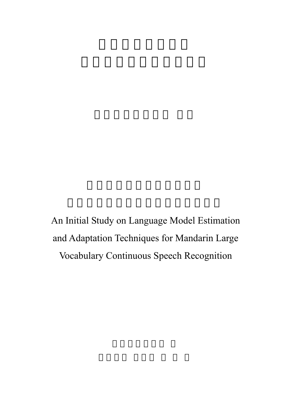An Initial Study on Language Model Estimation and Adaptation Techniques for Mandarin Large Vocabulary Continuous Speech Recognition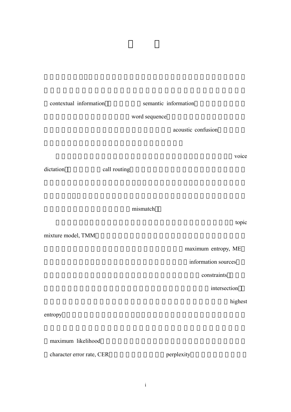contextual information semantic information

word sequence

 $\overline{v}$  voice

acoustic confusion

maximum entropy, ME

information sources

constraints

intersection

 $h$ ighest

entropy) when the set of the set of the set of the set of the set of the set of the set of the set of the set of the set of the set of the set of the set of the set of the set of the set of the set of the set of the set of

maximum likelihood

character error rate, CER perplexity

 $\alpha$ 

mismatch

dictation call routing

mixture model, TMM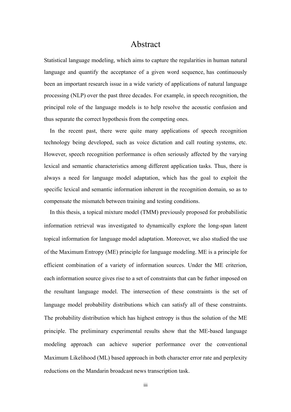### Abstract

Statistical language modeling, which aims to capture the regularities in human natural language and quantify the acceptance of a given word sequence, has continuously been an important research issue in a wide variety of applications of natural language processing (NLP) over the past three decades. For example, in speech recognition, the principal role of the language models is to help resolve the acoustic confusion and thus separate the correct hypothesis from the competing ones.

In the recent past, there were quite many applications of speech recognition technology being developed, such as voice dictation and call routing systems, etc. However, speech recognition performance is often seriously affected by the varying lexical and semantic characteristics among different application tasks. Thus, there is always a need for language model adaptation, which has the goal to exploit the specific lexical and semantic information inherent in the recognition domain, so as to compensate the mismatch between training and testing conditions.

In this thesis, a topical mixture model (TMM) previously proposed for probabilistic information retrieval was investigated to dynamically explore the long-span latent topical information for language model adaptation. Moreover, we also studied the use of the Maximum Entropy (ME) principle for language modeling. ME is a principle for efficient combination of a variety of information sources. Under the ME criterion, each information source gives rise to a set of constraints that can be futher imposed on the resultant language model. The intersection of these constraints is the set of language model probability distributions which can satisfy all of these constraints. The probability distribution which has highest entropy is thus the solution of the ME principle. The preliminary experimental results show that the ME-based language modeling approach can achieve superior performance over the conventional Maximum Likelihood (ML) based approach in both character error rate and perplexity reductions on the Mandarin broadcast news transcription task.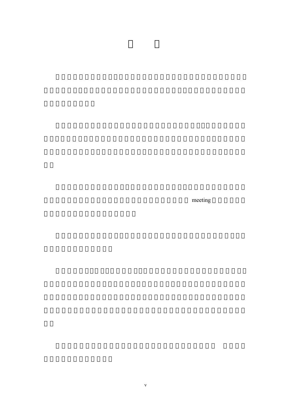meeting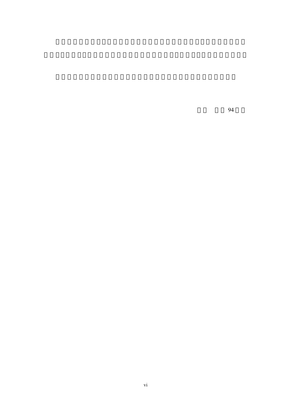$94$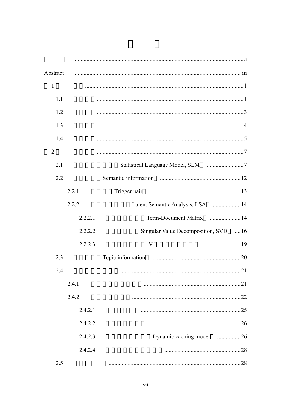| Abstract       |         |                                      |     |
|----------------|---------|--------------------------------------|-----|
| $\mathbf{1}$   |         |                                      |     |
| 1.1            |         |                                      |     |
| 1.2            |         |                                      |     |
| 1.3            |         |                                      |     |
| 1.4            |         |                                      |     |
| $\overline{2}$ |         |                                      |     |
| 2.1            |         |                                      |     |
| 2.2            |         |                                      |     |
|                | 2.2.1   |                                      |     |
|                | 2.2.2   | Latent Semantic Analysis, LSA  14    |     |
|                | 2.2.2.1 | Term-Document Matrix  14             |     |
|                | 2.2.2.2 | Singular Value Decomposition, SVD 16 |     |
|                | 2.2.2.3 | $\overline{N}$                       |     |
| 2.3            |         |                                      |     |
| 2.4            |         |                                      |     |
|                | 2.4.1   |                                      | .21 |
|                | 2.4.2   |                                      |     |
|                | 2.4.2.1 |                                      |     |
|                | 2.4.2.2 |                                      |     |
|                | 2.4.2.3 | Dynamic caching model 26             |     |
|                | 2.4.2.4 |                                      |     |
| 2.5            |         |                                      | 28  |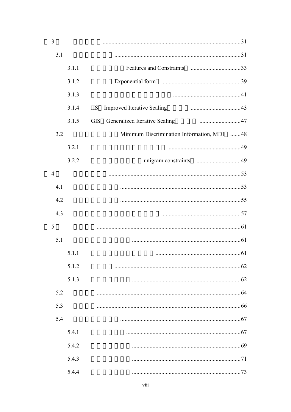| 3              |       |                                                                              |     |
|----------------|-------|------------------------------------------------------------------------------|-----|
| 3.1            |       |                                                                              |     |
|                | 3.1.1 |                                                                              |     |
|                | 3.1.2 |                                                                              |     |
|                | 3.1.3 |                                                                              |     |
|                | 3.1.4 | <b>IIS</b>                                                                   |     |
|                | 3.1.5 | Generalized Iterative Scaling <b>Constanting Constructs</b> 47<br><b>GIS</b> |     |
| 3.2            |       | Minimum Discrimination Information, MDI 48                                   |     |
|                | 3.2.1 |                                                                              |     |
|                | 3.2.2 |                                                                              |     |
| $\overline{4}$ |       |                                                                              |     |
| 4.1            |       |                                                                              |     |
| 4.2            |       |                                                                              |     |
| 4.3            |       |                                                                              |     |
| 5              |       |                                                                              |     |
| 5.1            |       |                                                                              |     |
|                | 5.1.1 |                                                                              |     |
|                | 5.1.2 |                                                                              | 62  |
|                | 5.1.3 |                                                                              |     |
| 5.2            |       |                                                                              |     |
| 5.3            |       |                                                                              |     |
| 5.4            |       |                                                                              |     |
|                | 5.4.1 |                                                                              |     |
|                | 5.4.2 |                                                                              |     |
|                | 5.4.3 |                                                                              | .71 |
|                | 5.4.4 |                                                                              | .73 |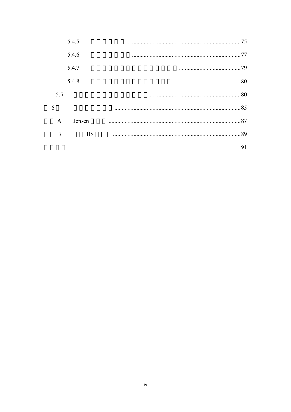|     | 5.4.5      | 75  |
|-----|------------|-----|
|     | 5.4.6      | 77  |
|     | 5.4.7      | 79  |
|     | 5.4.8      | .80 |
| 5.5 |            | .80 |
| 6   |            | .85 |
| A   | Jensen     | .87 |
| B   | <b>IIS</b> | 89  |
|     |            | 91  |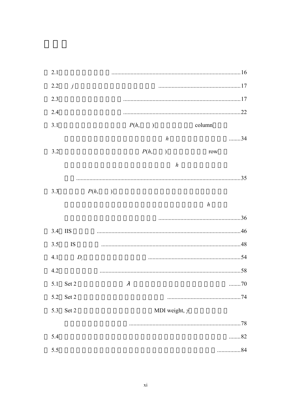| 2.1 |            |                       |                  |                           |
|-----|------------|-----------------------|------------------|---------------------------|
| 2.2 | $\dot{J}$  |                       |                  |                           |
| 2.3 |            |                       |                  |                           |
| 2.4 |            |                       |                  |                           |
| 3.1 |            | P(h, )                | column           |                           |
|     |            | $\boldsymbol{h}$      |                  | 34                        |
| 3.2 |            | P(h,<br>$\mathcal{E}$ | row              |                           |
|     |            | $\boldsymbol{h}$      |                  |                           |
|     |            |                       |                  | 35                        |
| 3.3 |            | P(h, )                |                  |                           |
|     |            |                       | $\boldsymbol{h}$ |                           |
|     |            |                       |                  |                           |
| 3.4 | <b>IIS</b> |                       |                  |                           |
| 3.5 | IS         |                       |                  | .48                       |
| 4.1 | $D_i$      |                       |                  |                           |
| 4.2 |            |                       |                  | .58                       |
|     | 5.1 Set 2  |                       |                  | $\ldots \ldots \ldots 70$ |
| 5.2 | Set 2      |                       |                  |                           |
| 5.3 |            | MDI weight, $\gamma$  |                  |                           |
|     | Set 2      |                       |                  |                           |
|     |            |                       |                  |                           |
| 5.4 |            |                       |                  | $\ldots \ldots \ldots 82$ |
| 5.5 |            |                       |                  | 84                        |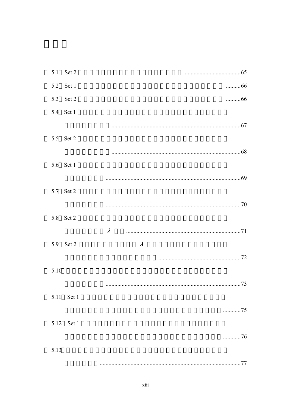|                           | Set 2      | 5.1  |
|---------------------------|------------|------|
| $\ldots \ldots \ldots 66$ | Set 1      | 5.2  |
| $\ldots \ldots \ldots 66$ | 5.3 Set 2  |      |
|                           | 5.4 Set 1  |      |
|                           |            |      |
|                           | 5.5 Set 2  |      |
|                           |            |      |
|                           | 5.6 Set 1  |      |
|                           |            |      |
|                           | 5.7 Set 2  |      |
|                           |            |      |
|                           | 5.8 Set 2  |      |
|                           |            |      |
| Set 2                     |            | 5.9  |
| $\cdots$                  |            |      |
|                           |            | 5.10 |
|                           | 5.11 Set 1 |      |
| 75                        |            |      |
| Set 1                     |            | 5.12 |
| 76                        |            |      |
|                           |            | 5.13 |
| .77                       |            |      |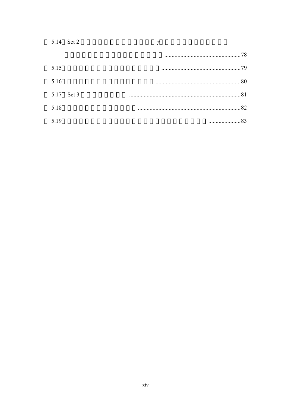|     | 5.14 Set 2 |      |
|-----|------------|------|
| .78 |            |      |
| 79  |            | 5.15 |
| .80 |            | 5.16 |
| .81 | Set 3      | 5.17 |
| 82  |            | 5.18 |
| .83 |            | 5.19 |
|     |            |      |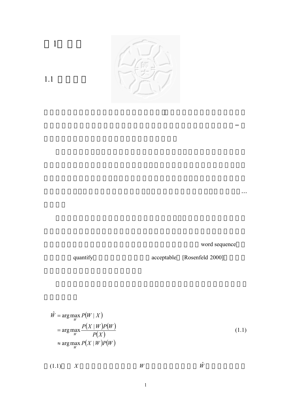$$
\mathbf{1}^{\prime}
$$

$$
(1.1) \tX \t\t W \t\t \hat{W}
$$

$$
\hat{W} = \underset{W}{\arg \max_{W}} P(W \mid X) \n= \underset{W}{\arg \max_{W}} \frac{P(X \mid W)P(W)}{P(X)} \n\approx \underset{W}{\arg \max_{W}} P(X \mid W)P(W)
$$
\n(1.1)

quantify acceptable [Rosenfeld 2000]

word sequence

 $1.1$ 

1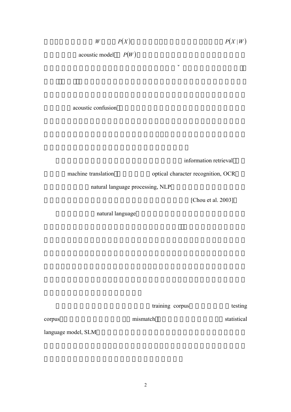information retrieval

acoustic confusion

acoustic model  $P(W)$ 

machine translation optical character recognition, OCR

natural language processing, NLP

在是「1」的第一章。<br>第二章 是「1」的第一章 是「1」的第一章 是「1」的第一章 是「1」的第一章 是「1」的第一章 是「1」的第一章

[Chou et al.  $2003$ ]

natural language

training corpus testing

corpus mismatch statistical statistical

language model, SLM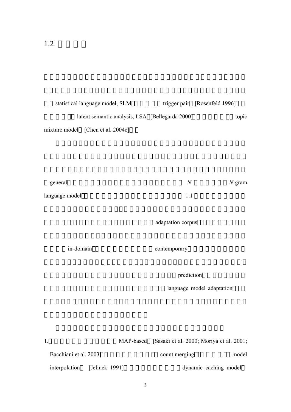| statistical language model, SLM                 | trigger pair [Rosenfeld 1996] |
|-------------------------------------------------|-------------------------------|
| latent semantic analysis, LSA [Bellegarda 2000] | topic                         |
| mixture model $[Chen et al. 2004c]$             |                               |

| general        | $N$ -gram |
|----------------|-----------|
| language model |           |

adaptation corpus

in-domain , contemporary

prediction

language model adaptation

|                              | MAP-based [Sasaki et al. 2000; Moriya et al. 2001; |                       |
|------------------------------|----------------------------------------------------|-----------------------|
| Bacchiani et al. 2003]       | count merging                                      | model                 |
| interpolation [Jelinek 1991] |                                                    | dynamic caching model |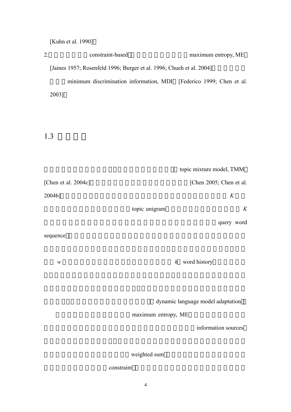[Kuhn et al. 1990]

| 2.                         |                     | constraint-based                                                     |                     |                  |              | maximum entropy, ME               |   |
|----------------------------|---------------------|----------------------------------------------------------------------|---------------------|------------------|--------------|-----------------------------------|---|
|                            |                     | [Jaines 1957; Rosenfeld 1996; Burger et al. 1996; Chueh et al. 2004] |                     |                  |              |                                   |   |
|                            |                     | minimum discrimination information, MDI [Federico 1999; Chen et al.  |                     |                  |              |                                   |   |
| 2003]                      |                     |                                                                      |                     |                  |              |                                   |   |
|                            |                     |                                                                      |                     |                  |              |                                   |   |
|                            |                     |                                                                      |                     |                  |              |                                   |   |
| 1.3                        |                     |                                                                      |                     |                  |              |                                   |   |
|                            |                     |                                                                      |                     |                  |              |                                   |   |
|                            |                     |                                                                      |                     |                  |              |                                   |   |
|                            |                     |                                                                      |                     |                  |              | topic mixture model, TMM          |   |
|                            | [Chen et al. 2004c] |                                                                      |                     |                  |              | [Chen 2005; Chen et al.           |   |
| 2004b]                     |                     |                                                                      |                     |                  |              | K                                 |   |
|                            |                     |                                                                      | topic unigram       |                  |              |                                   | K |
|                            |                     |                                                                      |                     |                  |              | query word                        |   |
| sequence                   |                     |                                                                      |                     |                  |              |                                   |   |
|                            |                     |                                                                      |                     |                  |              |                                   |   |
| $\boldsymbol{\mathcal{W}}$ |                     |                                                                      |                     | $\boldsymbol{h}$ | word history |                                   |   |
|                            |                     |                                                                      |                     |                  |              |                                   |   |
|                            |                     |                                                                      |                     |                  |              |                                   |   |
|                            |                     |                                                                      |                     |                  |              | dynamic language model adaptation |   |
|                            |                     |                                                                      | maximum entropy, ME |                  |              |                                   |   |
|                            |                     |                                                                      |                     |                  |              | information sources               |   |
|                            |                     |                                                                      |                     |                  |              |                                   |   |
|                            |                     |                                                                      | weighted sum        |                  |              |                                   |   |

#### constraint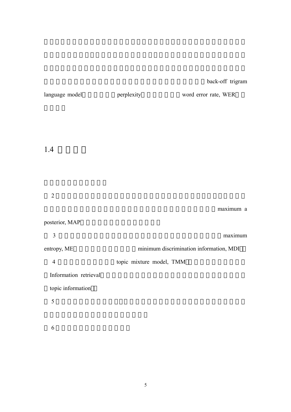back-off trigram

language model by the perplexity word error rate, WER 1.4  $2$ maximum a posterior, MAP 3 章介紹以限制為基礎的語言模型調適方法,包含了最大熵值法(maximum entropy, ME minimum discrimination information, MDI 4 **box** topic mixture model, TMM Information retrieval topic information  $5$  $6 \,$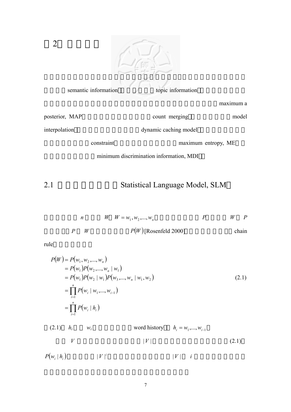

#### maximum a

| posterior, MAP |            | count merging         | model |
|----------------|------------|-----------------------|-------|
| interpolation  |            | dynamic caching model |       |
|                | constraint | maximum entropy, ME   |       |

minimum discrimination information, MDI

2.1 Statistical Language Model, SLM

n 
$$
W \quad W = w_1, w_2, ..., w_n
$$
  $P \quad W \quad P$   
\n*P \quad W \quad P(W) \text{[Rosenfeld 2000]} \quad \text{chain}*

rule

$$
P(W) = P(w_1, w_2, ..., w_n)
$$
  
\n
$$
= P(w_1)P(w_2, ..., w_n | w_1)
$$
  
\n
$$
= P(w_1)P(w_2 | w_1)P(w_3, ..., w_n | w_1, w_2)
$$
  
\n
$$
= \prod_{i=1}^{n} P(w_i | w_1, ..., w_{i-1})
$$
  
\n
$$
= \prod_{i=1}^{n} P(w_i | h_i)
$$
  
\n(2.1)  $h_i$   $w_i$  word history  $h_i = w_1, ..., w_{i-1}$   
\n $V$  |V| (2.1)

 $P(w_i | h_i)$   $|V|^i$   $|V^i|$  *i*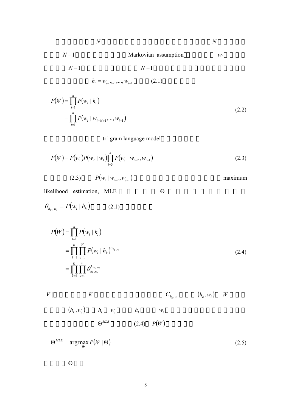$$
\overline{N}
$$

 $N$  and  $N$ 

 $N-1$  Markovian assumption  $w_i$ 

*N* −1 *N* −1

$$
h_i = w_{i-N+1}, \dots, w_{i-1} \tag{2.1}
$$

$$
P(W) = \prod_{i=1}^{n} P(w_i | h_i)
$$
  
= 
$$
\prod_{i=1}^{n} P(w_i | w_{i-N+1}, ..., w_{i-1})
$$
 (2.2)

## tri-gram language model

$$
P(W) = P(w_1)P(w_2 \mid w_1) \prod_{i=3}^{n} P(w_i \mid w_{i-2}, w_{i-1})
$$
\n(2.3)

(2.3) 
$$
P(w_i | w_{i-2}, w_{i-1})
$$
 maximum

likelihood estimation, MLE  $\Theta$ 

$$
\theta_{h_k, w_i} = P(w_i \mid h_k) \tag{2.1}
$$

$$
P(W) = \prod_{i=1}^{n} P(w_i | h_i)
$$
  
= 
$$
\prod_{k=1}^{K} \prod_{i=1}^{|V|} P(w_i | h_k)^{C_{h_k, w_i}}
$$
  
= 
$$
\prod_{k=1}^{K} \prod_{i=1}^{|V|} \theta_{h_k, w_i}^{C_{h_k, w_i}}
$$
 (2.4)

$$
|V| \t K \t C_{h_k, w_i} \t (h_k, w_i) \t W
$$
  
\n
$$
(h_k, w_i) \t h_k \t w_i \t h_k \t w_i
$$
  
\n
$$
\Theta^{MLE} \t (2.4) \t P(W)
$$

$$
\Theta^{MLE} = \arg \max_{\Theta} P(W \mid \Theta) \tag{2.5}
$$

語言模型Θ 滿足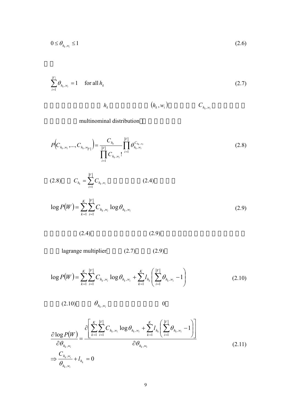$$
0 \le \theta_{h_k, w_i} \le 1 \tag{2.6}
$$

$$
\sum_{i=1}^{|V|} \theta_{h_k, w_i} = 1 \quad \text{ for all } h_k \tag{2.7}
$$

$$
h_{k} \hspace{1.5cm} (h_{k}, w_{i}) \hspace{1.5cm} C_{h_{k}, w_{i}}
$$

multinominal distribution

$$
P\left(C_{h_k, w_1}, \ldots, C_{h_k, w_{|V|}}\right) = \frac{C_{h_k}}{\prod_{i=1}^{|V|} C_{h_k, w_i}} \prod_{i=1}^{|V|} \theta_{h_k, w_i}^{C_{h_k, w_i}}
$$
(2.8)

$$
(2.8) \tC_{h_k} = \sum_{i=1}^{|V|} C_{h_k, w_i} \t(2.4)
$$

$$
\log P(W) = \sum_{k=1}^{K} \sum_{i=1}^{|V|} C_{h_k, w_i} \log \theta_{h_k, w_i}
$$
 (2.9)

$$
(2.4) \t(2.9)
$$

lagrange multiplier $(2.7)$   $(2.9)$ 

$$
\log P(W) = \sum_{k=1}^{K} \sum_{i=1}^{|V|} C_{h_k, w_i} \log \theta_{h_k, w_i} + \sum_{k=1}^{K} l_{h_k} \left( \sum_{i=1}^{|V|} \theta_{h_k, w_i} - 1 \right)
$$
(2.10)

$$
(2.10) \t\t \theta_{h_k,w_i} \t\t 0
$$

$$
\frac{\partial \log P(W)}{\partial \theta_{h_k, w_i}} = \frac{\partial \left[ \sum_{k=1}^K \sum_{i=1}^{|V|} C_{h_k, w_i} \log \theta_{h_k, w_i} + \sum_{k=1}^K l_{h_k} \left( \sum_{i=1}^{|V|} \theta_{h_k, w_i} - 1 \right) \right]}{\partial \theta_{h_k, w_i}} \newline \Rightarrow \frac{C_{h_k, w_i}}{\theta_{h_k, w_i}} + l_{h_k} = 0
$$
\n(2.11)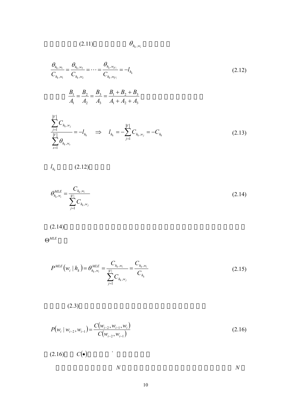$$
(2.11) \t\t \t\t \theta_{h_k, w_i}
$$

$$
\frac{\theta_{h_k, w_1}}{C_{h_k, w_1}} = \frac{\theta_{h_k, w_2}}{C_{h_k, w_2}} = \dots = \frac{\theta_{h_k, w_{|V|}}}{C_{h_k, w_{|V|}}} = -l_{h_k}
$$
\n
$$
\frac{B_1}{A_1} = \frac{B_2}{A_2} = \frac{B_3}{A_3} = \frac{B_1 + B_2 + B_3}{A_1 + A_2 + A_3}
$$
\n
$$
(2.12)
$$

$$
\sum_{j=1}^{|V|} C_{h_k, w_j} = -l_{h_k} \quad \Rightarrow \quad l_{h_k} = -\sum_{j=1}^{|V|} C_{h_k, w_j} = -C_{h_k}
$$
\n(2.13)

$$
l_{h_k} \qquad \qquad (2.12)
$$

$$
\theta_{h_k, w_i}^{MLE} = \frac{C_{h_k, w_i}}{\sum_{j=1}^{|V|} C_{h_k, w_j}}
$$
(2.14)

 $(2.14)$ 

 $\Theta^{MLE}$ 

$$
P^{MLE}(w_i | h_k) = \theta_{h_k, w_i}^{MLE} = \frac{C_{h_k, w_i}}{\sum_{j=1}^{|V|} C_{h_k, w_j}} = \frac{C_{h_k, w_i}}{C_{h_k}}
$$
(2.15)

 $(2.3)$ 

$$
P(w_i | w_{i-2}, w_{i-1}) = \frac{C(w_{i-2}, w_{i-1}, w_i)}{C(w_{i-2}, w_{i-1})}
$$
\n(2.16)

$$
(2.16) \tC(\bullet)
$$
\n
$$
N
$$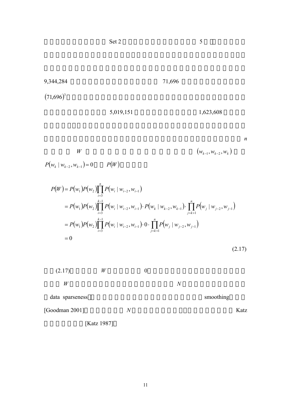$\text{Set 2}$  and  $\text{Set 2}$ 

9,344,284 個,但本論文所使用的詞典共包含 71,696 個詞,隱含的三連詞共有

 $(71,696)^3$ 

三萬多個三連詞當中,有 5,019,151 個三連詞是只出現一次,1,623,608 個三連詞

*W*  $(w_{k-1}, w_{k-2}, w_k)$ 

表性與可靠度的,這會導致估測詞序列發生的機率產生錯誤,例如某個長度為 *n*

 $P(w_k | w_{k-2}, w_{k-1}) = 0$  *P(W)* 

$$
P(W) = P(w_1)P(w_2) \prod_{i=3}^{n} P(w_i | w_{i-2}, w_{i-1})
$$
  
=  $P(w_1)P(w_2) \prod_{i=3}^{k-1} P(w_i | w_{i-2}, w_{i-1}) \cdot P(w_k | w_{k-2}, w_{k-1}) \cdot \prod_{j=k+1}^{n} P(w_j | w_{j-2}, w_{j-1})$   
=  $P(w_1)P(w_2) \prod_{i=3}^{k-1} P(w_i | w_{i-2}, w_{i-1}) \cdot 0 \cdot \prod_{j=k+1}^{n} P(w_j | w_{j-2}, w_{j-1})$   
= 0

 $(2.17)$ 

| (2.17)          | W           |                | $\theta$ |         |           |      |
|-----------------|-------------|----------------|----------|---------|-----------|------|
| W               |             |                |          | $\it N$ |           |      |
| data sparseness |             |                |          |         | smoothing |      |
| [Goodman 2001]  |             | $\overline{N}$ |          |         |           | Katz |
|                 | [Katz 1987] |                |          |         |           |      |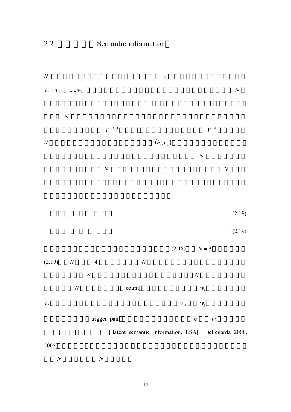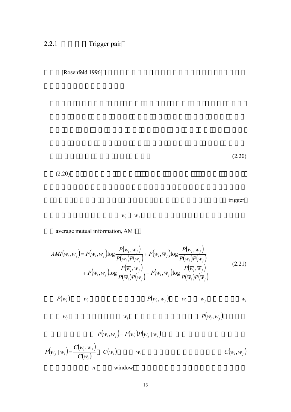## 2.2.1 Trigger pair

[Rosenfeld 1996]

 $(2.20)$ 

 $(2.20)$ 

 $m$  trigger  $t$  trigger

 $W_i$  *W<sub>j</sub>* 

average mutual information, AMI

$$
AMI(w_i, w_j) = P(w_i, w_j) \log \frac{P(w_i, w_j)}{P(w_i)P(w_j)} + P(w_i, \overline{w}_j) \log \frac{P(w_i, \overline{w}_j)}{P(w_i)P(\overline{w}_j)} + P(\overline{w}_i, w_j) \log \frac{P(\overline{w}_i, w_j)}{P(\overline{w}_i)P(w_j)} + P(\overline{w}_i, \overline{w}_j) \log \frac{P(\overline{w}_i, \overline{w}_j)}{P(\overline{w}_i)P(\overline{w}_j)} \tag{2.21}
$$

$$
P(w_i) \qquad w_i \qquad P(w_i, w_j) \qquad w_i \qquad w_j \qquad \overline{w_i}
$$

$$
w_i \hspace{1cm} P(w_i, w_j)
$$

$$
P(w_i, w_j) = P(w_i)P(w_j | w_i)
$$
  

$$
P(w_j | w_i) = \frac{C(w_i, w_j)}{C(w_i)} \t C(w_i) \t w_i
$$
  
*n* window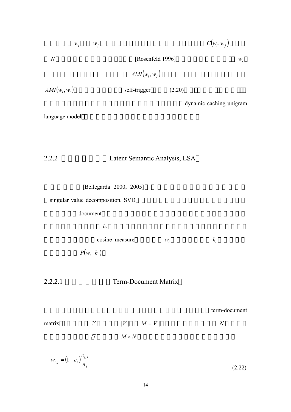$$
w_i
$$
  $w_j$  (Rosenfeld 1996)  
\n
$$
AMI(w_i, w_j)
$$
 self-trigger (2.20)  
\ndynamic caching unigram  
\nlanguage model  
\n2.2.2 Laten Semantic Analysis, LSA  
\n[Bellegarda 2000, 2005]  
\nsingular value decomposition, SVD  
\ndocument  
\nh\_i  
\nresine measure  
\n $w_i$   $h_i$   
\n $P(w_i | h_i)$   
\n2.2.2.1 Term-Document Matrix  
\n $w_{i,j} = (1 - \varepsilon_i) \frac{c_{i,j}}{n_j}$  (2.22)  
\n(2.22)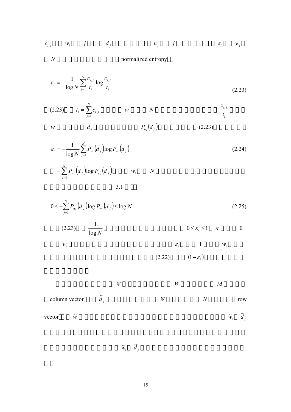$$
c_{i,j} \qquad w_i \qquad j \qquad d_j \qquad n_j \qquad j \qquad \qquad \varepsilon_i \qquad w_i
$$

*N* **hormalized entropy** 

$$
\varepsilon_{i} = -\frac{1}{\log N} \sum_{j=1}^{N} \frac{c_{i,j}}{t_{i}} \log \frac{c_{i,j}}{t_{i}} \tag{2.23}
$$

(2.23) 
$$
t_i = \sum_{j=1}^{N} c_{i,j}
$$
  $w_i$   $N$   $\frac{c_{i,j}}{t_i}$ 

 $w_i$  *d<sub>j</sub> d j* (2.23)

$$
\varepsilon_{i} = -\frac{1}{\log N} \sum_{j=1}^{N} P_{w_{i}}(d_{j}) \log P_{w_{i}}(d_{j}) - \sum_{j=1}^{N} P_{w_{i}}(d_{j}) \log P_{w_{i}}(d_{j}) \qquad w_{i} \qquad N
$$
\n(2.24)

$$
0 \le -\sum_{j=1}^{N} P_{w_i} (d_j) \log P_{w_i} (d_j) \le \log N
$$
\n(2.23)\n
$$
\frac{1}{\log N}
$$
\n
$$
0 \le \varepsilon_i \le 1 \quad \varepsilon_i \qquad 0
$$
\n
$$
w_i
$$
\n(2.24)

 $(2.22)$   $\left(1-\varepsilon_i\right)$ 

 $W$  and  $W$  and  $M$   $M$ column vector  $\widetilde{d}_j$  $\widetilde{d}_i$  *W N* 10W vector  $\widetilde{w}_i$  $\widetilde{w}_i$  $\widetilde{w}_i$   $\widetilde{d}_j$ 

 $\widetilde{w}_i$  $\widetilde{w}_i$   $\widetilde{d}_j$  $\widetilde{d}_i$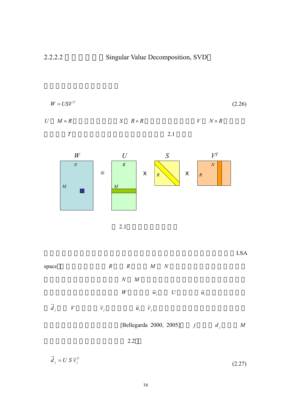$T$  2.1

$$
W = USVT
$$
\n
$$
U \t M \times R
$$
\n
$$
S \t R \times R
$$
\n
$$
V \t N \times R
$$
\n(2.26)

 $=$  x  $\mathbf{x}$  x x *W U S VT N* R R N N *M M*  $R$   $X$   $R$ 







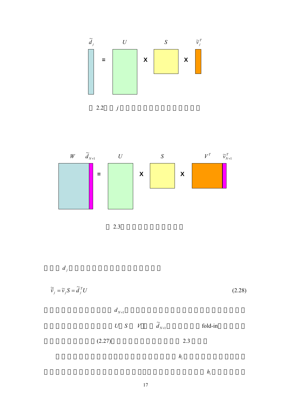



2.3、摺入新的文件示意圖。

 $d_j$ 

 $\widetilde{\overline{v}}_i = \widetilde{v}_i S = \widetilde{d}_i^T U$  $\widetilde{v}_j = \widetilde{v}_j S = \widetilde{d}_j^T U$  (2.28)



 $h_i$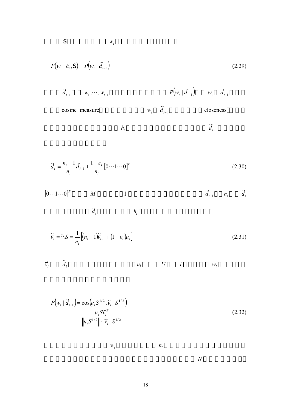$$
P(w_i | h_i, S) = P(w_i | \tilde{d}_{i-1})
$$
\n
$$
\tilde{d}_{i-1} \qquad w_1, \dots, w_{i-1}
$$
\n
$$
P(w_i | \tilde{d}_{i-1}) \qquad w_i \qquad \tilde{d}_{i-1}
$$
\n
$$
\text{cosine measure}
$$
\n
$$
h_i \qquad \qquad \tilde{d}_{i-1}
$$
\n
$$
\tilde{d}_i = \frac{n_i - 1}{n_i} \tilde{d}_{i-1} + \frac{1 - \varepsilon_i}{n_i} [0 \dots 1 \dots 0]^T
$$
\n
$$
[0 \dots 1 \dots 0]^T \qquad M \qquad 1
$$
\n
$$
\tilde{d}_i \qquad h_i
$$
\n
$$
\tilde{d}_i \qquad h_i
$$
\n(2.30)

 $S$   $W_i$ 

$$
\widetilde{\overline{v}}_i = \widetilde{v}_i S = \frac{1}{n_i} \Big[ (n_i - 1) \widetilde{\overline{v}}_{i-1} + (1 - \varepsilon_i) u_i \Big] \tag{2.31}
$$

$$
\widetilde{\overline{v}}_i \qquad \widetilde{d}_i \qquad \qquad u_i \qquad U \qquad i \qquad \qquad w_i
$$

$$
P(w_i | \widetilde{d}_{i-1}) = \cos(u_i S^{1/2}, \widetilde{v}_{i-1} S^{1/2})
$$
  
= 
$$
\frac{u_i S \widetilde{v}_{i-1}^T}{\|u_i S^{1/2}\| \cdot \|\widetilde{v}_{i-1} S^{1/2}\|}
$$
 (2.32)

 $w_i$  and  $h_i$ 

下一節我們將介紹如何將此在潛藏語意空間中估測到的值與 *N* 連語言模型結合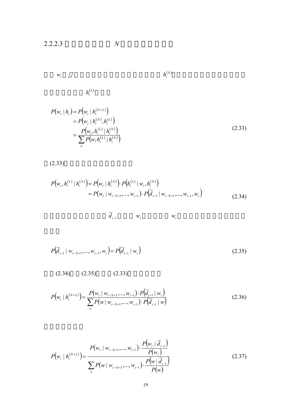2.2.2.3 潛藏語意機率與 *N* 連語言模型的結合

$$
w_i \hspace{1cm} h_i^{(N)}
$$

$$
h_i^{(L)}
$$

$$
P(w_i | h_i) = P(w_i | h_i^{(N+L)})
$$
  
= 
$$
P(w_i | h_i^{(N)}, h_i^{(L)})
$$
  
= 
$$
\frac{P(w_i, h_i^{(L)} | h_i^{(N)})}{\sum_{w} P(w, h_i^{(L)} | h_i^{(N)})}
$$
 (2.33)

 $(2.33)$ 

$$
P(w_i, h_i^{(L)} | h_i^{(N)}) = P(w_i | h_i^{(N)}) \cdot P(h_i^{(L)} | w_i, h_i^{(N)})
$$
  
= 
$$
P(w_i | w_{i-N+1}, ..., w_{i-1}) \cdot P(\tilde{d}_{i-1} | w_{i-N+1}, ..., w_{i-1}, w_i)
$$
 (2.34)

$$
\widetilde{d}_{i-1} \qquad \qquad w_i \qquad \qquad w_i
$$

$$
P(\tilde{d}_{i-1} | w_{i-N+1},..., w_{i-1}, w_i) = P(\tilde{d}_{i-1} | w_i)
$$
\n(2.35)

$$
(2.34) \qquad (2.35) \qquad (2.33)
$$

$$
P(w_i | h_i^{(N+L)}) = \frac{P(w_i | w_{i-N+1}, ..., w_{i-1}) \cdot P(\tilde{d}_{i-1} | w_i)}{\sum_{w} P(w | w_{i-N+1}, ..., w_{i-1}) \cdot P(\tilde{d}_{i-1} | w_i)}
$$
(2.36)

$$
P(w_i | h_i^{(N+L)}) = \frac{P(w_i | w_{i-N+1}, ..., w_{i-1}) \cdot \frac{P(w_i | \tilde{d}_{i-1})}{P(w_i)}}{\sum_{w} P(w | w_{i-N+1}, ..., w_{i-1}) \cdot \frac{P(w | \tilde{d}_{i-1})}{P(w)}} \tag{2.37}
$$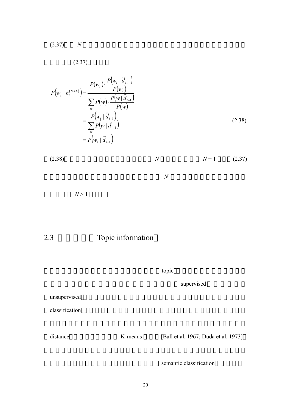### (2.37)是將 *N* 連語言模型與潛藏語意分析合併,但當我們只使用一連語言模型

 $(2.37)$ 

$$
P(w_i | h_i^{(N+L)}) = \frac{P(w_i) \cdot \frac{P(w_i | \tilde{d}_{i-1})}{P(w_i)}}{\sum_{w} P(w) \cdot \frac{P(w | \tilde{d}_{i-1})}{P(w)}} = \frac{P(w_i | \tilde{d}_{i-1})}{\sum_{w} P(w | \tilde{d}_{i-1})}
$$
\n
$$
= P(w_i | \tilde{d}_{i-1})
$$
\n
$$
= P(w_i | \tilde{d}_{i-1})
$$
\n(2.38)

| (2.38) |     | $\overline{N}$ | $N=1$ | (2.37) |
|--------|-----|----------------|-------|--------|
|        |     | $\,N$          |       |        |
|        | N>1 |                |       |        |

# 2.3 Topic information

|                |         | topic                                |
|----------------|---------|--------------------------------------|
|                |         | supervised                           |
| unsupervised   |         |                                      |
| classification |         |                                      |
|                |         |                                      |
| distance       | K-means | [Ball et al. 1967; Duda et al. 1973] |

semantic classification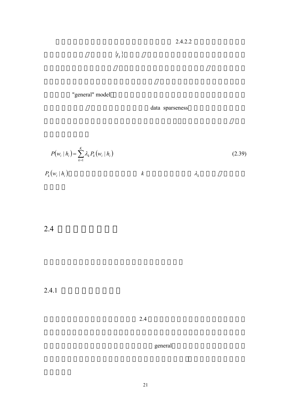$2.4.2.2$ 

 $\{t_k\}$ 

"general" model

data sparseness

$$
P(w_i | h_i) = \sum_{k=1}^{K} \lambda_k P_k(w_i | h_i)
$$
\n
$$
P_k(w_i | h_i)
$$
\n
$$
k \qquad \qquad \lambda_k
$$
\n(2.39)

 $2.4$ 

 $2.4.1$ 

 $2.4$ 

 $general$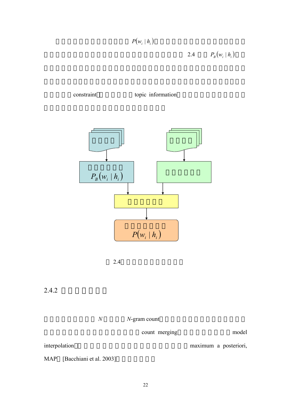$P(w_i | h_i)$ 

2.4  $P_B(w_i | h_i)$ 





2.4、語言模型調適架構圖。

 $2.4.2$ 

N  $N-$ gram count

count merging model

interpolation , and  $\frac{1}{\sqrt{2\pi}}$  , and  $\frac{1}{\sqrt{2\pi}}$  a posteriori,

MAP [Bacchiani et al. 2003]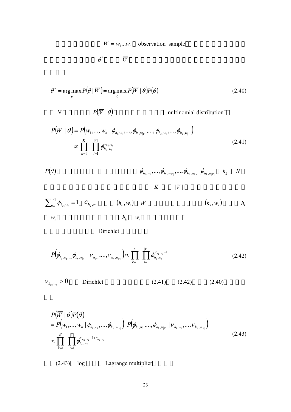$$
\overline{W} = w_1 ... w_n \text{ observation sample}
$$
\n
$$
\theta^* \qquad \overline{W}
$$

$$
\theta^* = \underset{\theta}{\arg \max} P(\theta | \overline{W}) = \underset{\theta}{\arg \max} P(\overline{W} | \theta) P(\theta)
$$
 (2.40)

$$
N \qquad P
$$

 $N \qquad P(\overline{W} | \theta)$  multinomial distribution

$$
P(\overline{W} \mid \theta) = P(w_1, \dots, w_n \mid \phi_{h_1, w_1}, \dots, \phi_{h_1, w_{|V|}}, \dots, \phi_{h_k, w_1}, \dots, \phi_{h_k, w_{|V|}})
$$
  

$$
\propto \prod_{k=1}^K \prod_{i=1}^{|V|} \phi_{h_k, w_i}^{c_{h_k, w_i}}
$$
 (2.41)

$$
P(\theta) \qquad \qquad \phi_{h_1, w_1}, \dots, \phi_{h_1, w_{|V|}}, \dots, \phi_{h_k, w_1, \dots, \phi_{h_k, w_{|V|}}} \qquad h_k \qquad N
$$

$$
\sum_{i=1}^{|V|} \phi_{h_k, w_i} = 1 \quad c_{h_k, w_i} \qquad (h_k, w_i) \quad \overline{W} \qquad (h_k, w_i) \qquad h_k
$$
  

$$
w_i \qquad w_i
$$

Dirichlet

$$
P(\phi_{h_1, w_1, ..., \phi_{h_k, w_{|V|}}} | V_{h_1, 1}, ..., V_{h_k, w_{|V|}}) \propto \prod_{k=1}^K \prod_{i=1}^{|V|} \phi_{h_k, w_i}^{V_{h_k, w_i} - 1}
$$
(2.42)

$$
V_{h_k, w_i} > 0 \t\t Dirichlet \t\t (2.41) \t (2.42) \t (2.40)
$$

$$
P(\overline{W} | \theta)P(\theta)
$$
  
=  $P(w_1,..., w_n | \phi_{h_1, w_1},..., \phi_{h_k, w_{|V|}}) \cdot P(\phi_{h_1, w_1},..., \phi_{h_k, w_{|V|}} | V_{h_1, w_1},..., V_{h_k, w_{|V|}})$   

$$
\propto \prod_{k=1}^K \prod_{i=1}^{|V|} \phi_{h_k, w_i}^{V_{h_k, w_i} - 1 + c_{h_k, w_i}}
$$
 (2.43)

 $(2.43)$  log Lagrange multiplier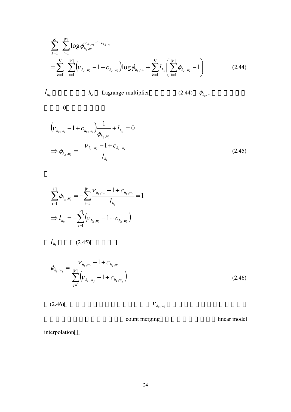$$
\sum_{k=1}^{K} \sum_{i=1}^{|V|} \log \phi_{h_k, w_i}^{v_{h_k, w_i} - 1 + c_{h_k, w_i}} = \sum_{k=1}^{K} \sum_{i=1}^{|V|} \left( v_{h_k, w_i} - 1 + c_{h_k, w_i} \right) \log \phi_{h_k, w_i} + \sum_{k=1}^{K} l_{h_k} \left( \sum_{i=1}^{|V|} \phi_{h_k, w_i} - 1 \right)
$$
(2.44)

$$
l_{h_k}
$$
 Lagrange multiplier (2.44)  $\phi_{h_k, w_i}$   
0  

$$
\left(V_{h_k, w_i} - 1 + c_{h_k, w_i}\right) \frac{1}{\phi_{h_k, w_i}} + l_{h_k} = 0
$$

$$
\Rightarrow \phi_{h_k, w_i} = -\frac{V_{h_k, w_i} - 1 + c_{h_k, w_i}}{l_{h_k}}
$$
\n(2.45)

$$
\sum_{i=1}^{|V|} \phi_{h_k, w_i} = -\sum_{i=1}^{|V|} \frac{v_{h_k, w_i} - 1 + c_{h_k, w_i}}{l_{h_k}} = 1
$$
  

$$
\Rightarrow l_{h_k} = -\sum_{i=1}^{|V|} (v_{h_k, w_i} - 1 + c_{h_k, w_i})
$$

$$
l_{h_k} \tag{2.45}
$$

$$
\phi_{h_k, w_i} = \frac{V_{h_k, w_i} - 1 + c_{h_k, w_i}}{\sum_{j=1}^{|V|} \left( V_{h_k, w_j} - 1 + c_{h_k, w_j} \right)}
$$
(2.46)

 $V_{h_k, w_i}$  (2.46)

#### count merging and linear model

interpolation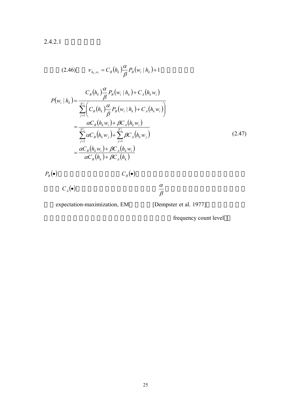$2.4.2.1$ 

$$
(2.46) \t v_{h_k, w_i} = C_B(h_k) \frac{\alpha}{\beta} P_B(w_i \mid h_k) + 1
$$

$$
P(w_i | h_k) = \frac{C_B(h_k) \frac{\alpha}{\beta} P_B(w_i | h_k) + C_A(h_k w_i)}{\sum_{j=1}^{|V|} \left( C_B(h_k) \frac{\alpha}{\beta} P_B(w_i | h_k) + C_A(h_k w_i) \right)}
$$
  

$$
= \frac{\alpha C_B(h_k w_i) + \beta C_A(h_k w_i)}{\sum_{j=1}^{|V|} \alpha C_B(h_k w_j) + \sum_{j=1}^{|V|} \beta C_A(h_k w_j)}
$$
  

$$
= \frac{\alpha C_B(h_k w_i) + \beta C_A(h_k w_i)}{\alpha C_B(h_k) + \beta C_A(h_k)}
$$
  

$$
P_B(\bullet)
$$
 (2.47)

 $C_A(\bullet)$   $\frac{\alpha}{\beta}$ 

 $\frac{\alpha}{\alpha}$ 

expectation-maximization, EM [Dempster et al. 1977]

frequency count level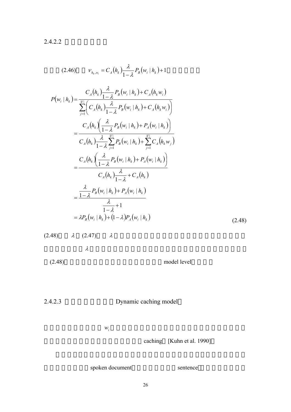$2.4.2.2$ 

$$
(2.46) \t v_{h_k,w_i} = C_A(h_k) \frac{\lambda}{1-\lambda} P_B(w_i \mid h_k) + 1
$$

$$
P(w_i | h_k) = \frac{C_A(h_k) \frac{\lambda}{1 - \lambda} P_B(w_i | h_k) + C_A(h_k w_i)}{\sum_{j=1}^{|\mathcal{V}|} \left( C_A(h_k) \frac{\lambda}{1 - \lambda} P_B(w_i | h_k) + C_A(h_k w_i) \right)}
$$
  
\n
$$
= \frac{C_A(h_k) \left( \frac{\lambda}{1 - \lambda} P_B(w_i | h_k) + P_A(w_i | h_k) \right)}{C_A(h_k) \frac{\lambda}{1 - \lambda} \sum_{j=1}^{|\mathcal{V}|} P_B(w_i | h_k) + \sum_{j=1}^{|\mathcal{V}|} C_A(h_k w_j)}
$$
  
\n
$$
= \frac{C_A(h_k) \left( \frac{\lambda}{1 - \lambda} P_B(w_i | h_k) + P_A(w_i | h_k) \right)}{C_A(h_k) \frac{\lambda}{1 - \lambda} + C_A(h_k)}
$$
  
\n
$$
= \frac{\frac{\lambda}{1 - \lambda} P_B(w_i | h_k) + P_A(w_i | h_k)}{\frac{\lambda}{1 - \lambda} + 1}
$$
  
\n
$$
= \lambda P_B(w_i | h_k) + (1 - \lambda) P_A(w_i | h_k)
$$
 (2.48)

$$
(2.48) \qquad \lambda \quad (2.47) \qquad \lambda
$$

 $(2.48)$  model level

## 2.4.2.3 Dynamic caching model

 $\lambda$ 

 $\mathcal{W}_i$ 

caching [Kuhn et al. 1990]

spoken document sentence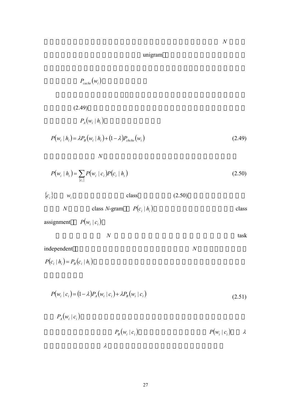$N$ 

# unigram

$$
P_{cache}(w_i)
$$
\n(2.49)  
\n
$$
P_A(w_i | h_i)
$$
\n
$$
P(w_i | h_i) = \lambda P_B(w_i | h_i) + (1 - \lambda) P_{check}(w_i)
$$
\n(2.49)  
\n
$$
N
$$
\n
$$
P(w_i | h_i) = \sum_{\{e_i\}} P(w_i | e_i) P(c_i | h_i)
$$
\n(2.50)  
\n
$$
\{c_i\}
$$
\n
$$
w_i
$$
\nclass V-gram  $P(c_i | h_i)$  class  
\nassignment  $P(w_i | c_i)$   
\n
$$
N
$$
\ntask  
\nindependent  
\n
$$
P(c_i | h_i) = P_B(c_i | h_i)
$$
\n
$$
P(w_i | c_i) = (1 - \lambda) P_A(w_i | c_i) + \lambda P_B(w_i | c_i)
$$
\n
$$
P_B(w_i | c_i)
$$
\n
$$
P_B(w_i | c_i)
$$
\n
$$
P_B(w_i | c_i)
$$
\n
$$
P_W_i | c_i)
$$
\n
$$
A
$$
\n
$$
\lambda
$$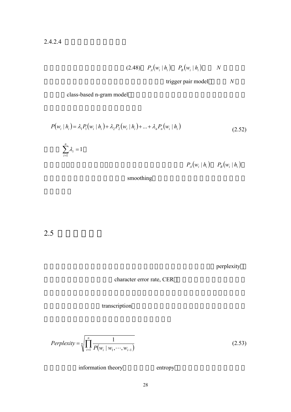(2.48) 
$$
P_A(w_i | h_i) P_B(w_i | h_i)
$$
 *N*  
trigger pair model *N*

class-based n-gram model

$$
P(w_i | h_i) = \lambda_1 P_1(w_i | h_i) + \lambda_2 P_2(w_i | h_i) + ... + \lambda_n P_n(w_i | h_i)
$$
\n
$$
\sum_{i=1}^n \lambda_i = 1
$$
\n(2.52)

$$
P_{A}(w_{i} | h_{i}) = P_{B}(w_{i} | h_{i})
$$

smoothing

2.5

perplexity

character error rate, CER

transcription

$$
Perplexity = \sqrt[n]{\prod_{i=1}^{n} \frac{1}{P(w_i | w_1, \cdots, w_{i-1})}}
$$
(2.53)

information theory entropy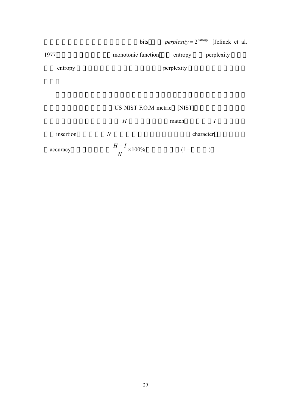|         | bits               |            | <i>perplexity</i> = $2^{entropy}$ [Jelinek et al. |
|---------|--------------------|------------|---------------------------------------------------|
| 1977]   | monotonic function | entropy    | perplexity                                        |
| entropy |                    | perplexity |                                                   |

# US NIST F.O.M metric [NIST]

|           | Н                            | match     |
|-----------|------------------------------|-----------|
| insertion | Λ                            | character |
| accuracy  | $\frac{H-I}{N} \times 100\%$ | $(1 -$    |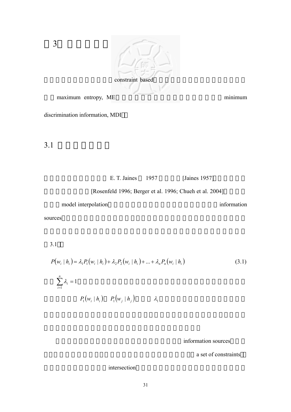

maximum entropy, ME minimum entropy, ME

discrimination information, MDI

 $3.1$ 

E. T. Jaines 1957 [Jaines 1957]

[Rosenfeld 1996; Berger et al. 1996; Chueh et al. 2004]

model interpolation and information information

sources

3.1

*i*

$$
P(w_i | h_i) = \lambda_1 P_1(w_i | h_i) + \lambda_2 P_2(w_i | h_i) + ... + \lambda_n P_n(w_i | h_i)
$$
\n(3.1)

$$
\sum_{i=1}^{n} \lambda_i = 1
$$
  
 
$$
P_1(w_i | h_i) \qquad P_1(w_j | h_j) \qquad \lambda_1
$$

information sources

a set of constraints

intersection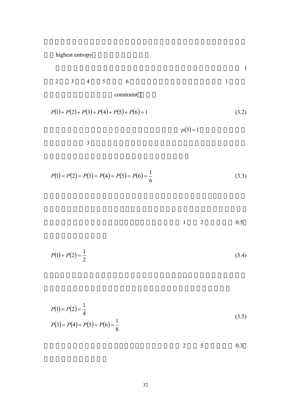highest entropy

$$
2 \qquad 3 \qquad 4 \qquad 5 \qquad \qquad 6 \qquad \qquad 1
$$

 $1$ 

constraint

$$
P(1) + P(2) + P(3) + P(4) + P(5) + P(6) = 1
$$
\n(3.2)

$$
p(3) = 1
$$
3

$$
P(1) = P(2) = P(3) = P(4) = P(5) = P(6) = \frac{1}{6}
$$
\n(3.3)

$$
1 \qquad 2 \qquad \qquad 0.5
$$

$$
P(1) + P(2) = \frac{1}{2}
$$
 (3.4)

$$
P(1) = P(2) = \frac{1}{4}
$$
  
\n
$$
P(3) = P(4) = P(5) = P(6) = \frac{1}{8}
$$
\n(3.5)

$$
2 \qquad 5 \qquad \qquad 0.3
$$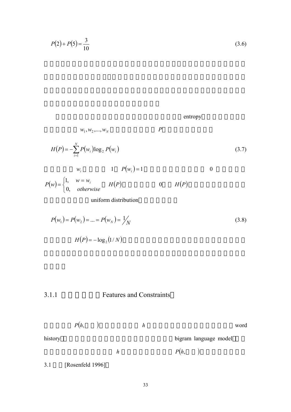$$
P(2) + P(5) = \frac{3}{10}
$$
 (3.6)

entropy

$$
w_1, w_2, \ldots, w_N \qquad P
$$

$$
H(P) = -\sum_{i=1}^{N} P(w_i) \log_2 P(w_i)
$$
\n(3.7)

$$
w_i \t 1 \t P(w_i) = 1 \t 0
$$
  

$$
P(w) = \begin{cases} 1, & w = w_i \\ 0, & otherwise \end{cases} H(P) \t 0 H(P)
$$

uniform distribution

$$
P(w_1) = P(w_2) = \dots = P(w_N) = \frac{1}{N}
$$
\n
$$
H(P) = -\log_2(1/N)
$$
\n(3.8)

## 3.1.1 Features and Constraints

*P*(*h*, ) *h* word history , history , history , history , history , bigram language model  $\overline{a}$ 連語言模型根據歷史詞序列 *h* 的最後一個詞來分割 *P*(*h*,很好)的機率分佈,如圖 3.1 [Rosenfeld 1996]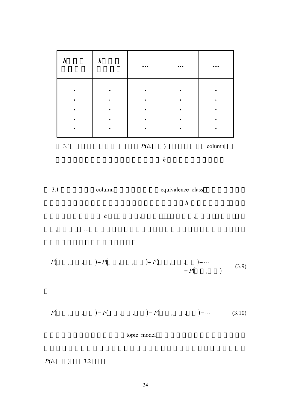| $\boldsymbol{h}$ | $\boldsymbol{h}$ |      |                  |        |
|------------------|------------------|------|------------------|--------|
|                  |                  |      |                  |        |
|                  |                  |      |                  |        |
|                  |                  |      |                  |        |
|                  |                  |      |                  |        |
|                  |                  |      |                  |        |
| $3.1\,$          |                  | P(h, | $\mathcal{Y}$    | column |
|                  |                  |      | $\boldsymbol{h}$ |        |



$$
P(\qquad , \qquad , \qquad ) + P(\qquad , \qquad , \qquad ) + P(\qquad , \qquad , \qquad ) + \cdots = P(\qquad , \qquad ) \qquad (3.9)
$$

$$
P(\qquad , \qquad , \qquad ) = P(\qquad , \qquad , \qquad ) = P(\qquad , \qquad , \qquad ) = \cdots \tag{3.10}
$$

topic model

 $P(h, 0)$  3.2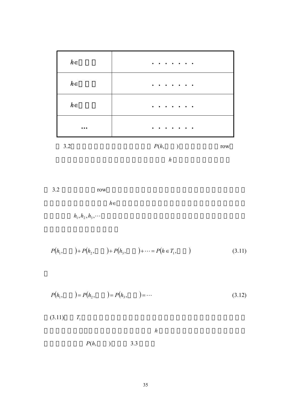

 $3.2$  row  $h∈$  $h_1, h_2, h_3, \dots$ 

$$
P(h_1, \t) + P(h_2, \t) + P(h_3, \t) + \cdots = P(h \in T_1, \t) \t (3.11)
$$

$$
P(h_1, ) = P(h_2, ) = P(h_3, ) = \cdots
$$
\n(3.12)\n  
\n(3.11)  $T_1$ 

主題模型的情況,此模型會依據歷史詞序列 *h* 的最後一個詞以及其所歸屬的主題

 $P(h, 9)$  3.3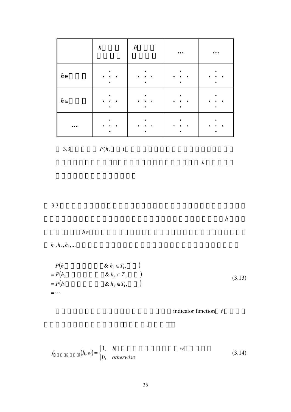|        | $\boldsymbol{h}$ | $\boldsymbol{h}$ |  |
|--------|------------------|------------------|--|
| $h\in$ |                  |                  |  |
| $h\in$ |                  |                  |  |
|        |                  |                  |  |

$$
3.3 \t P(h, )
$$

一個方格為一個等價類,在同一個等價類中的歷史詞序列 *h* 的最後一個

 $3.3$ 

 $h \in$ 

 $\overline{\phantom{a}}$ 

 $h_1, h_2, h_3, ...$ 

$$
P(h_1 \qquad \& h_1 \in T_1, \qquad )
$$
\n
$$
= P(h_2 \qquad \& h_2 \in T_1, \qquad )
$$
\n
$$
= P(h_3 \qquad \& h_3 \in T_1, \qquad )
$$
\n
$$
= \cdots
$$
\n(3.13)

 $h$ 

indicator function  $f$ 

$$
f_{(1, w)} = \begin{cases} 1, & h \\ 0, & otherwise \end{cases}
$$
 w (3.14)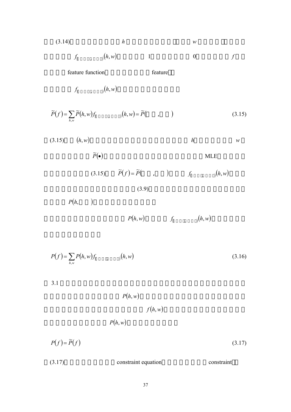$$
(3.14) \t\t h \t\t w
$$

 $f_1$  *j*( $h, w$ ) 1 0 *f* 

feature function feature

 $f_{(n+1)}(h,w)$ 

$$
\widetilde{P}(f) = \sum_{h,w} \widetilde{P}(h,w) f_{(1,1)}(h,w) = \widetilde{P}(1,1) \tag{3.15}
$$

$$
(3.15) \qquad (h, w) \qquad h \qquad w
$$
  

$$
\widetilde{P}(\bullet) \qquad \qquad \text{MLE}
$$

(3.15) 
$$
\widetilde{P}(f) = \widetilde{P}(\phantom{x},\phantom{x})
$$
  $f(\phantom{x},\phantom{x})$   $(h,w)$   
(3.9)

 $P(h, \t)$ 

$$
P(h, w) \qquad \qquad f_{(n, w)}(h, w)
$$

$$
P(f) = \sum_{h,w} P(h,w)f_{(1,w)}(h,w) \tag{3.16}
$$

 $3.1$ 

$$
P(h, w)
$$

$$
f(h, w)
$$

$$
P(h,w)
$$

 $P(f) = \widetilde{P}(f)$  (3.17)

(3.17)稱之為限制方程式(constraint equation)或簡稱為限制(constraint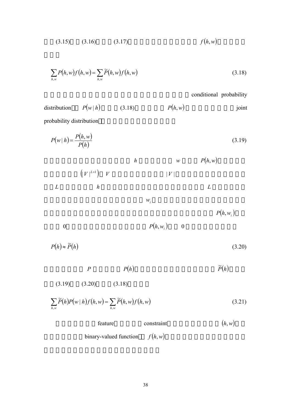$$
(3.15) \t(3.16) \t(3.17) \t f(h,w)
$$

$$
\sum_{h,w} P(h,w)f(h,w) = \sum_{h,w} \widetilde{P}(h,w)f(h,w)
$$
\n(3.18)

conditional probability

distribution 
$$
P(w|h)
$$
 (3.18)  $P(h, w)$  joint

probability distribution

$$
P(w|h) = \frac{P(h, w)}{P(h)}
$$
  
\n*h*  
\n*w*  
\n
$$
P(h, w)
$$
  
\n*|V|*  
\n*L*  
\n*h*  
\n*V*  
\n*V*  
\n*L*  
\n*L*  
\n*L*  
\n*L*  
\n*L*  
\n*L*  
\n*L*  
\n*L*  
\n*L*  
\n*L*  
\n*L*  
\n*L*  
\n*L*  
\n*L*  
\n*L*  
\n*L*  
\n*L*  
\n*L*  
\n*L*  
\n*L*  
\n*L*  
\n*L*  
\n*L*  
\n*L*  
\n*L*  
\n*L*  
\n*L*  
\n*L*  
\n*L*  
\n*L*  
\n*L*  
\n*L*  
\n*L*  
\n*L*  
\n*L*  
\n*L*  
\n*L*  
\n*L*  
\n*L*  
\n*L*  
\n*L*  
\n*L*  
\n*L*  
\n*L*  
\n*L*  
\n*L*  
\n*L*  
\n*L*  
\n*L*  
\n*L*  
\n*L*  
\n*L*  
\n*L*  
\n*L*  
\n*L*  
\n*L*  
\n*L*  
\n*L*  
\n*L*  
\n*L*  
\n*L*  
\n*L*  
\n*L*  
\n*L*  
\n*L*  
\n*L*  
\n*L*  
\n*L*  
\n*L*  
\n*L*  
\n*L*  
\n*L*  
\n*L*  
\n*L*  
\n*L*  
\n*L*  
\n*L*  
\n*L*  
\n*L*  
\n*L*  
\n*L*  
\n*L*  
\n*L*<

 $W_i$ 

 $P(h, w_i)$ 

$$
0 \hspace{3.1em} P(h, w_i) \hspace{1em} 0
$$

- $P(h) \approx \widetilde{P}(h)$  (3.20)
- $P$   $P(h)$   $\widetilde{P}(h)$

$$
(3.19) \qquad (3.20) \qquad (3.18)
$$

$$
\sum_{h,w} \widetilde{P}(h) P(w|h) f(h,w) = \sum_{h,w} \widetilde{P}(h,w) f(h,w)
$$
\n(3.21)

feature

\nconstruct the constraint:

\n
$$
(h, w)
$$
\nbinary-valued function

\n
$$
f(h, w)
$$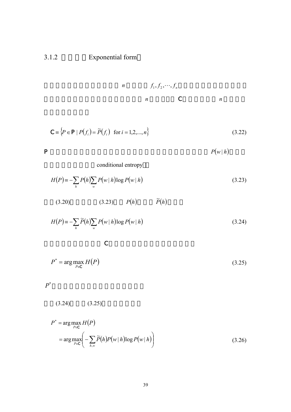# 3.1.2 Exponential form

$$
n \qquad f_1, f_2, \cdots, f_n
$$
\n
$$
n \qquad c \qquad n
$$

$$
\mathcal{C} \equiv \left\{ P \in \mathcal{P} \mid P(f_i) = \widetilde{P}(f_i) \text{ for } i = 1, 2, \dots, n \right\}
$$
\n(3.22)

$$
P(w|h)
$$

conditional entropy

$$
H(P) = -\sum_{h} P(h) \sum_{w} P(w \mid h) \log P(w \mid h)
$$
\n(3.23)

$$
(3.20) \t\t\t (3.23) \t\t P(h) \t\t \widetilde{P}(h)
$$

$$
H(P) = -\sum_{h} \widetilde{P}(h) \sum_{w} P(w \mid h) \log P(w \mid h)
$$
 (3.24)

$$
\mathcal{C}_{\mathcal{C}}
$$

$$
P^* = \arg\max_{P \in \mathcal{C}} H(P) \tag{3.25}
$$

 $\boldsymbol{p}^*$ 

$$
(3.24) (3.25)
$$

$$
P^* = \arg \max_{P \in \mathcal{C}} H(P)
$$
  
= 
$$
\arg \max_{P \in \mathcal{C}} \left( -\sum_{h,w} \widetilde{P}(h) P(w|h) \log P(w|h) \right)
$$
 (3.26)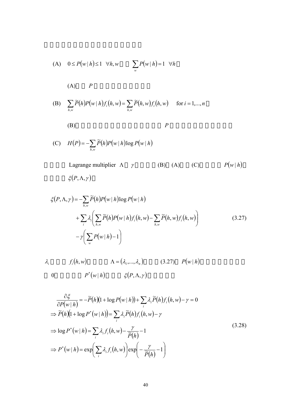(A) 
$$
0 \le P(w|h) \le 1 \quad \forall h, w
$$
  $\sum_{w} P(w|h) = 1 \quad \forall h$   
(A)  $P$ 

(B) 
$$
\sum_{h,w} \widetilde{P}(h) P(w|h) f_i(h,w) = \sum_{h,w} \widetilde{P}(h,w) f_i(h,w) \quad \text{for } i = 1,...,n
$$
  
(B) 
$$
P
$$

(C) 
$$
H(P) = -\sum_{h,w} \widetilde{P}(h)P(w|h) \log P(w|h)
$$
  
Lagrange multiplier  $\Lambda$   $\gamma$  (B) (A) (C)  $P(w|h)$ 

$$
\xi\big(P,\Lambda,\gamma\big)
$$

$$
\xi(P,\Lambda,\gamma) = -\sum_{h,w} \widetilde{P}(h)P(w|h)\log P(w|h) \n+ \sum_{i} \lambda_{i} \left( \sum_{h,w} \widetilde{P}(h)P(w|h)f_{i}(h,w) - \sum_{h,w} \widetilde{P}(h,w)f_{i}(h,w) \right) \n- \gamma \left( \sum_{w} P(w|h) - 1 \right)
$$
\n(3.27)

$$
\lambda_i \qquad f_i(h, w) \qquad \Lambda = (\lambda_1, ..., \lambda_n) \qquad (3.27) \qquad P(w \mid h)
$$
  
0 \qquad P^\*(w \mid h) \qquad \xi(P, \Lambda, \gamma)

$$
\frac{\partial \xi}{\partial P(w|h)} = -\widetilde{P}(h)(1 + \log P(w|h)) + \sum_{i} \lambda_{i} \widetilde{P}(h)f_{i}(h, w) - \gamma = 0
$$
  
\n
$$
\Rightarrow \widetilde{P}(h)(1 + \log P^{*}(w|h)) = \sum_{i} \lambda_{i} \widetilde{P}(h)f_{i}(h, w) - \gamma
$$
  
\n
$$
\Rightarrow \log P^{*}(w|h) = \sum_{i} \lambda_{i} f_{i}(h, w) - \frac{\gamma}{\widetilde{P}(h)} - 1
$$
  
\n
$$
\Rightarrow P^{*}(w|h) = \exp\left(\sum_{i} \lambda_{i} f_{i}(h, w)\right) \exp\left(-\frac{\gamma}{\widetilde{P}(h)} - 1\right)
$$
\n(3.28)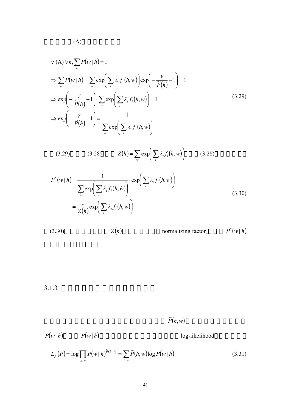$$
\therefore (A) \forall h, \sum_{w} P(w|h) = 1
$$
  
\n
$$
\Rightarrow \sum_{w} P(w|h) = \sum_{w} \exp\left(\sum_{i} \lambda_{i} f_{i}(h, w)\right) \exp\left(-\frac{\gamma}{\widetilde{P}(h)} - 1\right) = 1
$$
  
\n
$$
\Rightarrow \exp\left(-\frac{\gamma}{\widetilde{P}(h)} - 1\right) \cdot \sum_{w} \exp\left(\sum_{i} \lambda_{i} f_{i}(h, w)\right) = 1
$$
  
\n
$$
\Rightarrow \exp\left(-\frac{\gamma}{\widetilde{P}(h)} - 1\right) = \frac{1}{\sum_{w} \exp\left(\sum_{i} \lambda_{i} f_{i}(h, w)\right)}
$$
\n(3.29)

$$
(3.29) \qquad (3.28) \qquad Z(h) = \sum_{w} \exp\left(\sum_{i} \lambda_i f_i(h, w)\right) \qquad (3.28)
$$

$$
P^*(w|h) = \frac{1}{\sum_{\hat{w}} \exp\left(\sum_i \lambda_i f_i(h, \hat{w})\right)} \cdot \exp\left(\sum_i \lambda_i f_i(h, w)\right)
$$
  
= 
$$
\frac{1}{Z(h)} \exp\left(\sum_i \lambda_i f_i(h, w)\right)
$$
 (3.30)

(3.30)  $Z(h)$  **hormalizing factor**  $P^*(w|h)$ 

 $3.1.3$ 

 $\widetilde{P}(h, w)$ 

$$
P(w|h) \t P(w|h) \t log-likelihood
$$
  
\n
$$
L_{\widetilde{P}}(P) = \log \prod_{h,w} P(w|h)^{\widetilde{P}(h,w)} = \sum_{h,w} \widetilde{P}(h,w) \log P(w|h) \t (3.31)
$$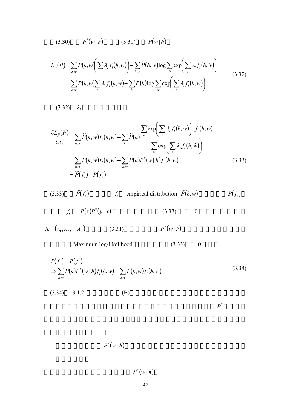$$
(3.30) \tP^*(w|h) \t(3.31) \tP(w|h)
$$

$$
L_{\widetilde{p}}(P) = \sum_{h,w} \widetilde{P}(h,w) \left( \sum_{i} \lambda_{i} f_{i}(h,w) \right) - \sum_{h,w} \widetilde{P}(h,w) \log \sum_{\hat{w}} \exp \left( \sum_{i} \lambda_{i} f_{i}(h,\hat{w}) \right)
$$
  
= 
$$
\sum_{h,w} \widetilde{P}(h,w) \sum_{i} \lambda_{i} f_{i}(h,w) - \sum_{h} \widetilde{P}(h) \log \sum_{w} \exp \left( \sum_{i} \lambda_{i} f_{i}(h,w) \right)
$$
(3.32)

 $(3.32)$   $\lambda_i$ 

$$
\frac{\partial L_{\tilde{p}}(P)}{\partial \lambda_i} = \sum_{h,w} \widetilde{P}(h,w) f_i(h,w) - \sum_{h} \widetilde{P}(h) \frac{\sum_{w} \exp\left(\sum_{i} \lambda_i f_i(h,w)\right) \cdot f_i(h,w)}{\sum_{\hat{w}} \exp\left(\sum_{i} \lambda_i f_i(h,\hat{w})\right)}
$$
\n
$$
= \sum_{h,w} \widetilde{P}(h,w) f_i(h,w) - \sum_{h,w} \widetilde{P}(h) P^*(w \mid h) f_i(h,w)
$$
\n
$$
= \widetilde{P}(f_i) - P(f_i)
$$
\n(3.33)

(3.33) 
$$
\widetilde{P}(f_i)
$$
  $f_i$  empirical distribution  $\widetilde{P}(h, w)$   $P(f_i)$ 

$$
f_i \qquad \widetilde{P}(x)P^*(y \mid x) \tag{3.33} \qquad \qquad 0
$$

$$
\Lambda = (\lambda_1, \lambda_2, \cdots \lambda_n) \qquad (3.31) \qquad P^*(w \mid h)
$$

Maximum log-likelihood (3.33) 0

$$
P(f_i) = \widetilde{P}(f_i)
$$
  
\n
$$
\Rightarrow \sum_{h,w} \widetilde{P}(h) P^*(w|h) f_i(h,w) = \sum_{h,w} \widetilde{P}(h,w) f_i(h,w)
$$
  
\n(3.34) 3.1.2 (B)

 $\boldsymbol{P}^*$ 

$$
P^*(w\,|\,h)
$$

 $P^*(w|h)$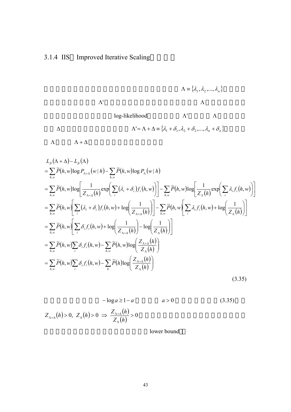## 3.1.4 IIS Improved Iterative Scaling

 $\sum_{h,w} \widetilde{P}(h,w) \sum_i \delta_i f_i(h,w) - \sum_h \widetilde{P}(h) \log \left( \frac{Z_{\Lambda+\Delta}(h)}{Z_{\Lambda}(h)} \right)$ 

 $\widetilde{P}(h, w) \sum \delta_i f_i(h, w) - \sum \widetilde{P}(h) \log \left( \frac{Z_{\Lambda + \Delta}(h, w)}{Z_{\Lambda + \Delta}(h, w)} \right)$ 

 $=\sum \widetilde{P}(h,w)\sum \delta_{i}f_{i}(h,w)-\sum \widetilde{P}(h)\log$ 

 $\widetilde{P}(h, w) \sum \delta_i f_i(h, w) - \sum \widetilde{P}(h) \log$ 

*h i w h i i*

δ

,

$$
\Lambda = \{\lambda_1, \lambda_2, ..., \lambda_n\}
$$
\n
$$
\Lambda
$$
\nlog-likelihood\n
$$
\Lambda'
$$
\n
$$
\Lambda
$$
\n
$$
\Lambda
$$
\n
$$
\Lambda
$$
\n
$$
\Lambda
$$
\n
$$
\Lambda
$$
\n
$$
\Lambda
$$
\n
$$
\Lambda
$$
\n
$$
\Lambda
$$
\n
$$
\Lambda
$$
\n
$$
\Lambda
$$
\n
$$
\Lambda
$$
\n
$$
\Lambda
$$
\n
$$
\Lambda
$$
\n
$$
\Lambda
$$
\n
$$
\Lambda
$$
\n
$$
\Lambda
$$
\n
$$
\Lambda
$$
\n
$$
\Lambda
$$
\n
$$
\Lambda
$$
\n
$$
\Lambda
$$
\n
$$
\Lambda
$$
\n
$$
\Lambda
$$
\n
$$
\Lambda
$$
\n
$$
\Lambda
$$
\n
$$
\Lambda
$$
\n
$$
\Lambda
$$
\n
$$
\Lambda
$$
\n
$$
\Lambda
$$
\n
$$
\Lambda
$$
\n
$$
\Lambda
$$
\n
$$
\Lambda
$$
\n
$$
\Lambda
$$
\n
$$
\Lambda
$$
\n
$$
\Lambda
$$
\n
$$
\Lambda
$$
\n
$$
\Lambda
$$
\n
$$
\Lambda
$$
\n
$$
\Lambda
$$
\n
$$
\Lambda
$$
\n
$$
\Lambda
$$
\n
$$
\Lambda
$$
\n
$$
\Lambda
$$
\n
$$
\Lambda
$$
\n
$$
\Lambda
$$
\n
$$
\Lambda
$$
\n
$$
\Lambda
$$
\n
$$
\Lambda
$$
\n
$$
\Lambda
$$
\n
$$
\Lambda
$$
\n
$$
\Lambda
$$
\n
$$
\Lambda
$$
\n
$$
\Lambda
$$
\n
$$
\Lambda
$$
\n
$$
\Lambda
$$
\n
$$
\Lambda
$$
\n
$$
\Lambda
$$
\n
$$
\Lambda
$$
\n
$$
\Lambda
$$
\n
$$
\Lambda
$$
\n
$$
\Lambda
$$
\n
$$
\Lambda
$$
\n
$$
\Lambda
$$
\n
$$
\Lambda
$$
\n
$$
\Lambda
$$
\n
$$
\Lambda
$$

(3.35)

 $\overline{\phantom{a}}$ 丿

$$
-\log a \ge 1 - a \qquad a > 0 \qquad (3.35)
$$
  

$$
Z_{\Lambda + \Delta}(h) > 0, \ Z_{\Lambda}(h) > 0 \implies \frac{Z_{\Lambda + \Delta}(h)}{Z_{\Lambda}(h)} > 0
$$

Λ Λ+∆

*Z h*

 $\parallel$  $\backslash$   $\overline{\phantom{a}}$ J  $\setminus$ 

lower bound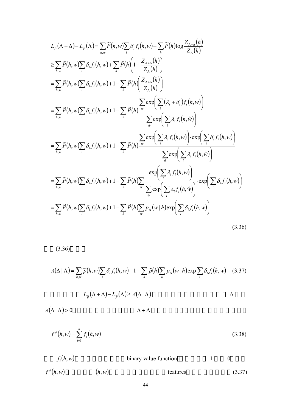$$
L_{\tilde{p}}(\Lambda + \Delta) - L_{\tilde{p}}(\Lambda) = \sum_{h,w} \tilde{P}(h,w) \sum_{i} \delta_{i} f_{i}(h,w) - \sum_{h} \tilde{P}(h) \log \frac{Z_{\Lambda + \Delta}(h)}{Z_{\Lambda}(h)}
$$
  
\n
$$
\geq \sum_{h,w} \tilde{P}(h,w) \sum_{i} \delta_{i} f_{i}(h,w) + \sum_{h} \tilde{P}(h) \left(1 - \frac{Z_{\Lambda + \Delta}(h)}{Z_{\Lambda}(h)}\right)
$$
  
\n
$$
= \sum_{h,w} \tilde{P}(h,w) \sum_{i} \delta_{i} f_{i}(h,w) + 1 - \sum_{h} \tilde{P}(h) \left(\frac{Z_{\Lambda + \Delta}(h)}{Z_{\Lambda}(h)}\right)
$$
  
\n
$$
= \sum_{h,w} \tilde{P}(h,w) \sum_{i} \delta_{i} f_{i}(h,w) + 1 - \sum_{h} \tilde{P}(h) \frac{\sum_{w} \exp\left(\sum_{i} (\lambda_{i} + \delta_{i}) f_{i}(h,w)\right)}{\sum_{w} \exp\left(\sum_{i} \lambda_{i} f_{i}(h,w)\right)}
$$
  
\n
$$
= \sum_{h,w} \tilde{P}(h,w) \sum_{i} \delta_{i} f_{i}(h,w) + 1 - \sum_{h} \tilde{P}(h) \frac{\sum_{w} \exp\left(\sum_{i} \lambda_{i} f_{i}(h,w)\right) \cdot \exp\left(\sum_{i} \delta_{i} f_{i}(h,w)\right)}{\sum_{w} \exp\left(\sum_{i} \lambda_{i} f_{i}(h,w)\right)}
$$
  
\n
$$
= \sum_{h,w} \tilde{P}(h,w) \sum_{i} \delta_{i} f_{i}(h,w) + 1 - \sum_{h} \tilde{P}(h) \sum_{w} \frac{\exp\left(\sum_{i} \lambda_{i} f_{i}(h,w)\right)}{\sum_{w} \exp\left(\sum_{i} \lambda_{i} f_{i}(h,w)\right)} \cdot \exp\left(\sum_{i} \delta_{i} f_{i}(h,w)\right)}
$$
  
\n
$$
= \sum_{h,w} \tilde{P}(h,w) \sum_{i} \delta_{i} f_{i}(h,w) + 1 - \sum_{h} \tilde{P}(h) \sum_{w} p_{\Lambda}(w) \log
$$

 $(3.36)$ 

$$
A(\Delta \mid \Lambda) = \sum_{h,w} \widetilde{p}(h,w) \sum_{i} \delta_{i} f_{i}(h,w) + 1 - \sum_{h} \widetilde{p}(h) \sum_{w} p_{\Lambda}(w \mid h) \exp \sum_{i} \delta_{i} f_{i}(h,w) \quad (3.37)
$$

$$
L_{\widetilde{p}}(\Lambda + \Delta) - L_{\widetilde{p}}(\Lambda) \ge A(\Delta \mid \Lambda)
$$

$$
A(\Delta | \Lambda) > 0 \qquad \qquad \Lambda + \Delta
$$

$$
f^{\#}(h, w) = \sum_{i=1}^{n} f_i(h, w)
$$
\n(3.38)

 $f_i(h, w)$  binary value function  $1 \t 0$  $f^*(h, w)$   $(h, w)$  features (3.37)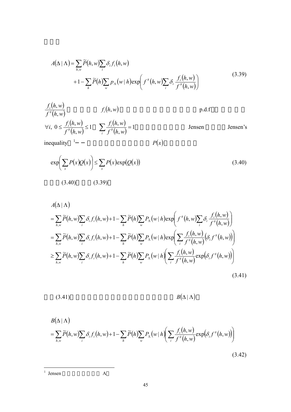$$
A(\Delta \mid \Lambda) = \sum_{h,w} \widetilde{P}(h,w) \sum_{i} \delta_{i} f_{i}(h,w)
$$
  
+1-
$$
\sum_{h} \widetilde{P}(h) \sum_{w} p_{\Lambda}(w \mid h) \exp\left(f^{*}(h,w) \sum_{i} \delta_{i} \frac{f_{i}(h,w)}{f^{*}(h,w)}\right)
$$
(3.39)

$$
\frac{f_i(h, w)}{f^*(h, w)} \qquad f_i(h, w) \qquad \text{p.d.f}
$$
\n
$$
\forall i, \ 0 \le \frac{f_i(h, w)}{f^*(h, w)} \le 1 \qquad \sum_i \frac{f_i(h, w)}{f^*(h, w)} = 1 \qquad \text{Jensen} \qquad \text{Jensen's}
$$
\n
$$
\text{inequality} \qquad \qquad P(x)
$$

inequality <sup>1</sup>

 $\left(\sum_{x} P(x)Q(x)\right) \leq \sum_{x} P(x) \exp(Q(x))$  $\setminus$ ſ *x x*  $|\sum P(x)Q(x)| \le \sum P(x) \exp(Q(x))$  (3.40)  $(3.40)$   $(3.39)$ 

$$
A(\Delta | \Lambda)
$$
  
\n
$$
= \sum_{h,w} \widetilde{P}(h, w) \sum_{i} \delta_{i} f_{i}(h, w) + 1 - \sum_{h} \widetilde{P}(h) \sum_{w} P_{\Lambda}(w | h) \exp\left(f^{\#}(h, w) \sum_{i} \delta_{i} \frac{f_{i}(h, w)}{f^{\#}(h, w)}\right)
$$
  
\n
$$
= \sum_{h,w} \widetilde{P}(h, w) \sum_{i} \delta_{i} f_{i}(h, w) + 1 - \sum_{h} \widetilde{P}(h) \sum_{w} P_{\Lambda}(w | h) \exp\left(\sum_{i} \frac{f_{i}(h, w)}{f^{\#}(h, w)} (\delta_{i} f^{\#}(h, w))\right)
$$
  
\n
$$
\geq \sum_{h,w} \widetilde{P}(h, w) \sum_{i} \delta_{i} f_{i}(h, w) + 1 - \sum_{h} \widetilde{P}(h) \sum_{w} P_{\Lambda}(w | h) \left(\sum_{i} \frac{f_{i}(h, w)}{f^{\#}(h, w)} \exp(\delta_{i} f^{\#}(h, w))\right)
$$
  
\n(3.41)

$$
(3.41) \t\t B(\Delta | \Lambda)
$$

$$
B(\Delta | \Lambda) = \sum_{h,w} \widetilde{P}(h,w) \sum_{i} \delta_{i} f_{i}(h,w) + 1 - \sum_{h} \widetilde{P}(h) \sum_{w} P_{\Lambda}(w | h) \left( \sum_{i} \frac{f_{i}(h,w)}{f^{*}(h,w)} \exp(\delta_{i} f^{*}(h,w)) \right)
$$

 $(3.42)$ 

 $\frac{1}{1}$  Jensen A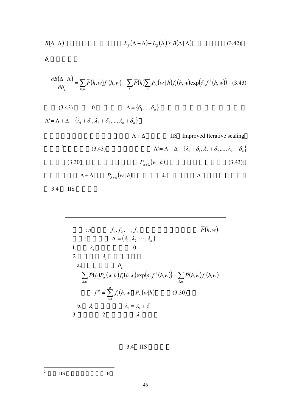$$
B(\Delta | \Lambda) \qquad L_{\widetilde{p}}(\Lambda + \Delta) - L_{\widetilde{p}}(\Lambda) \ge B(\Delta | \Lambda) \qquad (3.42)
$$

 $\delta_i$ 

$$
\frac{\partial B(\Delta \mid \Lambda)}{\partial \delta_i} = \sum_{h,w} \widetilde{P}(h,w) f_i(h,w) - \sum_h \widetilde{P}(h) \sum_w P_{\Lambda}(w \mid h) f_i(h,w) \exp(\delta_i f^*(h,w)) \quad (3.43)
$$
\n
$$
(3.43) \quad 0 \qquad \Delta = \{\delta_1, ..., \delta_n\}
$$
\n
$$
\Lambda' = \Lambda + \Delta \equiv \{\lambda_1 + \delta_1, \lambda_2 + \delta_2, ..., \lambda_n + \delta_n\}
$$
\n
$$
\Lambda + \Delta \qquad \text{IIS} \quad \text{Improved Iterative scaling}
$$
\n
$$
(3.43) \qquad \Lambda' = \Lambda + \Delta \equiv \{\lambda_1 + \delta_1, \lambda_2 + \delta_2, ..., \lambda_n + \delta_n\}
$$
\n
$$
(3.30) \qquad P_{\Lambda + \Delta}(w \mid h) \qquad (3.43)
$$
\n
$$
\Lambda + \Delta \qquad P_{\Lambda + \Delta}(w \mid h) \qquad \lambda_i \qquad \Delta
$$

 $3.4$  IIS

$$
\begin{aligned}\n&:\n&n \qquad f_1, f_2, \cdots, f_n \qquad \qquad \widetilde{P}(h, w) \\
&:\n&\quad \Lambda = (\lambda_1, \lambda_2, \cdots, \lambda_n) \\
1. \qquad \lambda_i \qquad 0 \\
2. \qquad \lambda_i \\
a. \qquad \delta_i \\
\sum_{h, w} \widetilde{P}(h) P_\Lambda(w|h) f_i(h, w) \exp\left(\delta_i f^*(h, w)\right) &= \sum_{h, w} \widetilde{P}(h, w) f_i(h, w) \\
&\quad \int f^* = \sum_{i=1}^n f_i(h, w) P_\Lambda(w|h) \qquad (3.30) \\
b. \qquad \lambda_i \qquad \qquad \lambda_i = \lambda_i + \delta_i \\
3. \qquad 2 \qquad \qquad \lambda_i\n\end{aligned}
$$

 $3.4$  IIS

 $\overline{2}$  $\overline{a}$  IIS B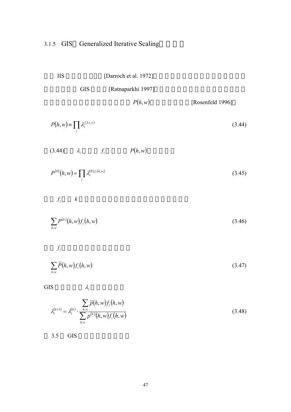IIS [Darroch et al. 1972] GIS [Ratnaparkhi 1997] *P*(*h*,*w*) [Rosenfeld 1996]

$$
P(h, w) \equiv \prod_i \lambda_i^{f_i(x, y)} \tag{3.44}
$$

$$
(3.44) \qquad \lambda_i \qquad f_i \qquad P(h,w)
$$

 $(0)(h,w) = \prod_i \lambda_i^{(0) f_i(h,w)}$  $P^{(0)}(h, w) = \prod_i \lambda_i^{(0) f_i(h, w)}$  (3.45)

 $f_i$  *k* 

$$
\sum_{h,w} P^{(k)}(h,w) f_i(h,w) \tag{3.46}
$$

 $f_i$ 

$$
\sum_{h,w}\widetilde{P}(h,w)f_i(h,w) \tag{3.47}
$$

GIS  $\lambda_i$ 

$$
\lambda_i^{(k+1)} = \lambda_i^{(k)} \cdot \frac{\sum_{h,w} \widetilde{p}(h,w) f_i(h,w)}{\sum_{h,w} p^{(k)}(h,w) f_i(h,w)}
$$
(3.48)

 $3.5$  GIS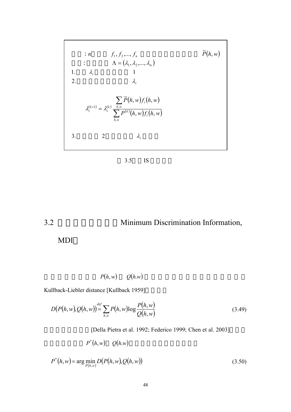$$
\begin{aligned}\n& \vdots n \qquad f_1, f_2, \ldots, f_n \qquad \qquad \widetilde{P}(h, w) \\
& \vdots \qquad \Lambda = (\lambda_1, \lambda_2, \ldots, \lambda_n) \\
1. \qquad \lambda_i \qquad 1 \\
2. \qquad \lambda_i \\
\lambda_i \qquad 1 \\
\lambda_i \qquad \qquad \lambda_i \\
\lambda_i^{(k+1)} &= \lambda_i^{(k)} \sum_{h, w} \widetilde{P}(h, w) f_i(h, w) \\
\lambda_i^{(k+1)} &= \lambda_i^{(k)} \sum_{h, w} P^{(k)}(h, w) f_i(h, w)\n\end{aligned}
$$
\n3.

 $3.5$  IS

3.2 Minimum Discrimination Information,

MDI

$$
P(h, w) \qquad Q(h.w)
$$

Kullback-Liebler distance [Kullback 1959]

$$
D(P(h, w), Q(h, w)) \stackrel{def}{=} \sum_{h, w} P(h, w) \log \frac{P(h, w)}{Q(h, w)}
$$
(3.49)

[Della Pietra et al. 1992; Federico 1999; Chen et al. 2003]

 $P^*(h, w)$   $Q(h.w)$ 

$$
P^*(h, w) = \arg\min_{P(h, w)} D(P(h, w), Q(h, w))
$$
\n(3.50)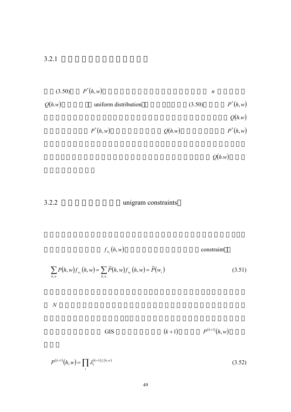$3.2.1$ 

(3.50) 
$$
P^*(h, w)
$$
 *n*  
\n $Q(h.w)$  uniform distribution  
\n $P^*(h, w)$   $Q(h.w)$   
\n $P^*(h, w)$   $Q(h.w)$   $P^*(h, w)$ 

 $Q(h.w)$ 

3.2.2 一連語言模型限制(unigram constraints

 $f_{w_i}(h, w)$  constraint

$$
\sum_{h,w} P(h,w) f_{w_i}(h,w) = \sum_{h,w} \widetilde{P}(h,w) f_{w_i}(h,w) = \widetilde{P}(w_i)
$$
\n(3.51)

 $N$ 

GIS 
$$
(k+1)
$$
  $P^{(k+1)}(h, w)$ 

$$
P^{(k+1)}(h, w) = \prod_{i} \lambda_i^{(k+1)f_i(h, w)}
$$
\n(3.52)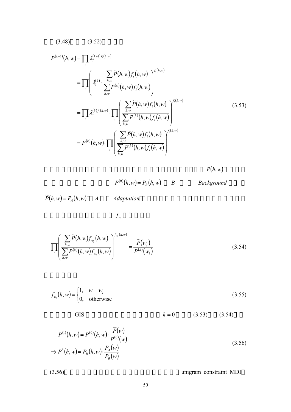$$
(3.48)\qquad \qquad (3.52)
$$

$$
P^{(k+1)}(h, w) = \prod_{i} \lambda_{i}^{(k+1) f_{i}(h, w)}
$$
  
\n
$$
= \prod_{i} \left( \lambda_{i}^{(k)} \cdot \frac{\sum_{h, w} \widetilde{P}(h, w) f_{i}(h, w)}{\sum_{h, w} P^{(k)}(h, w) f_{i}(h, w)} \right)^{f_{i}(h, w)}
$$
  
\n
$$
= \prod_{i} \lambda_{i}^{(k) f_{i}(h, w)} \cdot \prod_{i} \left( \frac{\sum_{h, w} \widetilde{P}(h, w) f_{i}(h, w)}{\sum_{h, w} P^{(k)}(h, w) f_{i}(h, w)} \right)^{f_{i}(h, w)}
$$
  
\n
$$
= P^{(k)}(h, w) \cdot \prod_{i} \left( \frac{\sum_{h, w} \widetilde{P}(h, w) f_{i}(h, w)}{\sum_{h, w} P^{(k)}(h, w) f_{i}(h, w)} \right)^{f_{i}(h, w)}
$$
  
\n(3.53)

 $P(h, w)$ 

 $P^{(0)}(h, w) = P_B(h, w)$  *B Background* 

 $\widetilde{P}(h, w) = P_A(h, w)$  *A Adaptation* 

 $f_{w_i}$ 

$$
\prod_{i} \left( \frac{\sum_{h,w} \widetilde{P}(h,w) f_{w_i}(h,w)}{\sum_{h,w} P^{(k)}(h,w) f_{w_i}(h,w)} \right)^{f_{w_i}(h,w)} = \frac{\widetilde{P}(w_i)}{P^{(k)}(w_i)} \tag{3.54}
$$

$$
f_{w_i}(h, w) = \begin{cases} 1, & w = w_i \\ 0, & \text{otherwise} \end{cases}
$$
 (3.55)

GIS  $k = 0$  (3.53) (3.54)

$$
P^{(1)}(h, w) = P^{(0)}(h, w) \cdot \frac{\widetilde{P}(w)}{P^{(0)}(w)}
$$
  
\n
$$
\Rightarrow P^*(h, w) = P_B(h, w) \cdot \frac{P_A(w)}{P_B(w)}
$$
\n(3.56)

(3.56) unigram constraint MDI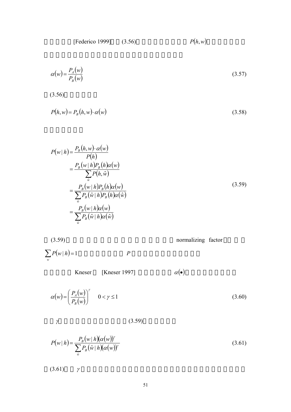$$
\alpha(w) = \frac{P_A(w)}{P_B(w)}\tag{3.57}
$$

 $(3.56)$ 

$$
P(h, w) = P_B(h, w) \cdot \alpha(w) \tag{3.58}
$$

$$
P(w|h) = \frac{P_B(h, w) \cdot \alpha(w)}{P(h)}
$$
  
= 
$$
\frac{P_B(w|h)P_B(h)\alpha(w)}{\sum_{\hat{w}} P(h, \hat{w})}
$$
  
= 
$$
\frac{P_B(w|h)P_B(h)\alpha(w)}{\sum_{\hat{w}} P_B(\hat{w}|h)P_B(h)\alpha(\hat{w})}
$$
  
= 
$$
\frac{P_B(w|h)\alpha(w)}{\sum_{\hat{w}} P_B(\hat{w}|h)\alpha(\hat{w})}
$$
 (3.59)

$$
(3.59)
$$

normalizing factor

 $\sum_{w} P(w|h) = 1$  *P* 

Kneser [Kneser 1997] 
$$
\alpha(\bullet)
$$

$$
\alpha(w) = \left(\frac{P_A(w)}{P_B(w)}\right)^{\gamma} \qquad 0 < \gamma \le 1 \tag{3.60}
$$

$$
\overline{}
$$

 $\gamma$  (3.59)

$$
P(w|h) = \frac{P_B(w|h)(\alpha(w))^{\gamma}}{\sum_{\hat{w}} P_B(\hat{w}|h)(\alpha(w))^{\gamma}}
$$
(3.61)

 $(3.61)$  γ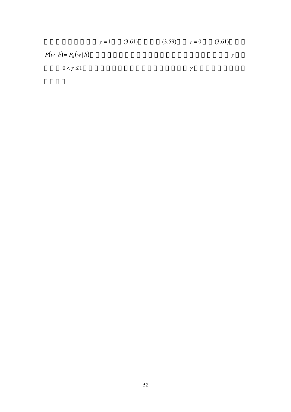|                       | $\gamma = 1$ (3.61) | $(3.59)$ $\gamma = 0$ $(3.61)$ |  |
|-----------------------|---------------------|--------------------------------|--|
| $P(w h) = P_{B}(w h)$ |                     |                                |  |
| $0 < \gamma \leq 1$   |                     |                                |  |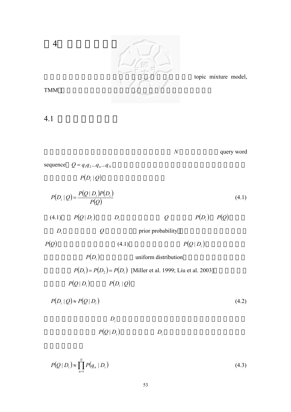$4$ TMM ,接著再介紹如何將主題混合模型應用於語言模型調適上。

topic mixture model,

在一個資訊檢索的架構中,使用者輸入一個長度為 *N* 的查詢詞序列(query word

 $4.1$ 

|       | sequence $Q = q_1 q_2 \dots q_n \dots q_N$   |            |                                                                  |                 |       |
|-------|----------------------------------------------|------------|------------------------------------------------------------------|-----------------|-------|
|       | $P(D_i   Q)$                                 |            |                                                                  |                 |       |
|       | $P(D_i   Q) = \frac{P(Q   D_i)P(D_i)}{P(Q)}$ |            |                                                                  |                 | (4.1) |
|       | (4.1) $P(Q D_i)$ $D_i$                       |            | Q                                                                | $P(D_i)$ $P(Q)$ |       |
| $D_i$ | $\mathcal{Q}$                                |            | prior probability                                                |                 |       |
| P(Q)  |                                              | (4.1)      |                                                                  | $P(Q D_i)$      |       |
|       | $P(D_i)$                                     |            | uniform distribution                                             |                 |       |
|       |                                              |            | $P(D_1) = P(D_2) = P(D_i)$ [Miller et al. 1999; Liu et al. 2003] |                 |       |
|       | $P(Q D_i)$ $P(D_i Q)$                        |            |                                                                  |                 |       |
|       | $P(D_i   Q) \approx P(Q   D_i)$              |            |                                                                  |                 | (4.2) |
|       |                                              | $D_i$      |                                                                  |                 |       |
|       |                                              | $P(Q D_i)$ | $D_i$                                                            |                 |       |
|       |                                              |            |                                                                  |                 |       |

$$
P(Q \mid D_i) \approx \prod_{n=1}^{N} P(q_n \mid D_i)
$$
\n(4.3)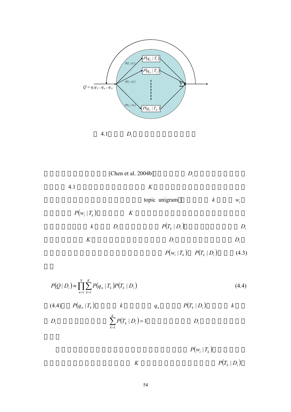

4.1、文件 *Di* 的主題混合模型示意圖。

|                  | [Chen et al. 2004b] |                | $D_i$ |                           |       |
|------------------|---------------------|----------------|-------|---------------------------|-------|
| 4.1              |                     | K              |       |                           |       |
|                  |                     | topic unigram  |       | $\boldsymbol{k}$<br>$W_i$ |       |
| $P(w_i   T_k)$   | K                   |                |       |                           |       |
| $\boldsymbol{k}$ | $D_i$               | $P(T_k   D_i)$ |       |                           | $D_i$ |
| K                |                     | $D_i$          |       | D,                        |       |

$$
P(w_i | T_k) \qquad P(T_k | D_i) \tag{4.3}
$$

$$
P(Q | D_i) \approx \prod_{n=1}^{N} \sum_{k=1}^{K} P(q_n | T_k) P(T_k | D_i)
$$
\n(4.4) 
$$
P(q_n | T_k) \qquad k \qquad q_n \qquad P(T_k | D_i)
$$
\n
$$
D_i \qquad \sum_{k=1}^{K} P(T_k | D_i) = 1 \qquad D_i
$$
\n(4.5)

$$
P(w_i | T_k)
$$
  

$$
P(T_k | D_i)
$$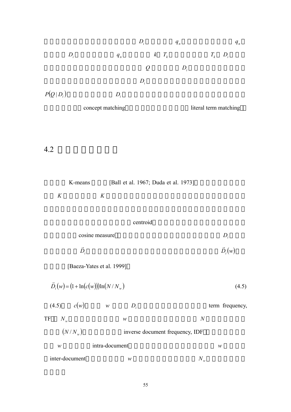

#### 4.2

|   | K-means |   | [Ball et al. 1967; Duda et al. 1973] |
|---|---------|---|--------------------------------------|
| K |         | K |                                      |
|   |         |   |                                      |

#### exentroid exentroid

| cosine measure | -                           |
|----------------|-----------------------------|
| -              | (W)<br>$\boldsymbol{\nu}$ : |

[Baeza-Yates et al. 1999]

$$
\vec{D}_i(w) = (1 + \ln(c(w)))\ln(N/N_w)
$$
\n(4.5)

(4.5)  $c(w)$  *w*  $D_i$  term frequency,

TF  $N_w$  *w N* 

 $(N/N_w)$  **inverse document frequency, IDF** 

*w* intra-document **w**  $w$ 

inter-document  $w$   $N_w$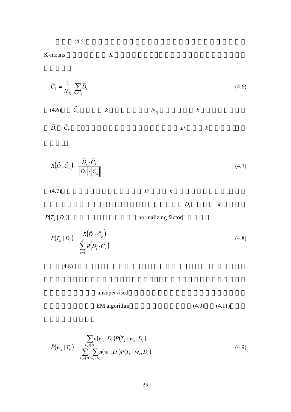$$
(4.5)
$$

K-means *K* 

$$
\vec{C}_k = \frac{1}{N_{T_k}} \sum_{D_i \in T_k} \vec{D}_i
$$
\n
$$
(4.6) \qquad \vec{C}_k \qquad k \qquad N_{T_k} \qquad k
$$
\n
$$
\vec{D}_i \quad \vec{C}_k \qquad D_i \qquad k
$$

$$
R(\vec{D}_i, \vec{C}_k) = \frac{\vec{D}_i \cdot \vec{C}_k}{\|\vec{D}_i\| \cdot \|\vec{C}_k\|}
$$
\n(4.7)

$$
(4.7) \t\t D_i \t\t k
$$

 $D_i \hspace{1.5cm} k$ 

$$
P(T_k | D_i)
$$

 $P(T_k | D_i)$  **participallizing factor** 

 $(T_k | D_i) = \frac{R(D_i \cdot C_k)}{K}$  $\sum_{r=1} R(\vec{D}_i \cdot \vec{C}_r)$  $=\frac{R(D_i \cdot R(D_i \cdot R(i)))}{K}$ *r i r*  $\binom{n}{k}$   $(D_i) = \frac{K(D_i \cdot C_k)}{K}$  $R(D_i \cdot C)$  $P(T_k | D_i) = \frac{R(D_i \cdot C)}{R}$ 1  $| D_i ) = \frac{R_i}{\sum_{k} p_i}$  $\vec{r}$   $\vec{r}$ (4.8)

 $(4.8)$ 

unsupervised

#### $EM algorithm$  (4.9)  $(4.11)$

$$
\hat{P}(w_n | T_k) = \frac{\sum_{D_i \in [D]} n(w_n, D_i) P(T_k | w_n, D_i)}{\sum_{D_i \in [D] \mid w_s \in D_i} n(w_s, D_i) P(T_k | w_s, D_i)}
$$
(4.9)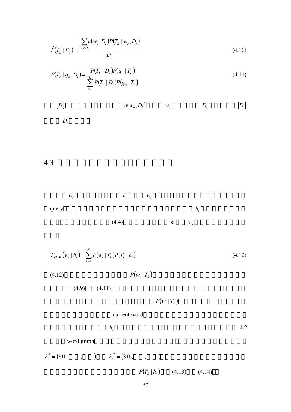$$
\hat{P}(T_k | D_i) = \frac{\sum_{w_s \in D_i} n(w_s, D_i) P(T_k | w_s, D_i)}{|D_i|}
$$
\n(4.10)

$$
P(T_k | q_n, D_i) = \frac{P(T_k | D_i)P(q_n | T_k)}{\sum_{r=1}^{K} P(T_r | D_i)P(q_n | T_r)}
$$
(4.11)

$$
[D] \t n(w_n, D_i) \t w_n \t D_i \t |D_i|
$$

 $4.3$ 

$$
w_i
$$
  $h_i$   $w_i$   
query  $h_i$   $h_i$   $W_i$ 

$$
(4.4) \t n_i
$$

$$
P_{TMM}(w_i | h_i) = \sum_{k=1}^{K} P(w_i | T_k) P(T_k | h_i)
$$
\n(4.12)\n
$$
P(w_i | T_k)
$$
\n(4.9) (4.11)

 $P(w_i | T_k)$ 

#### current word

$$
h_i \hspace{2.5cm} 4.2
$$

word graph

$$
h_i^1 = (SIL, , , )
$$
  $h_i^2 = (SIL, , , )$   
 $P(T_k | h_i) = (4.13)$  (4.14)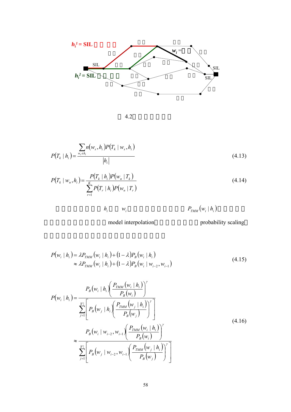



$$
P(T_k | h_i) = \frac{\sum_{w_s \in h_i} n(w_s, h_i) P(T_k | w_s, h_i)}{|h_i|}
$$
  
\n
$$
P(T_k | w_n, h_i) = \frac{P(T_k | h_i) P(w_n | T_k)}{\sum_{r=1}^{K} P(T_r | h_i) P(w_n | T_r)}
$$
  
\n(4.14)

 $h_i$   $w_i$   $P_{TMM}(w_i | h_i)$ 

model interpolation and probability scaling

$$
P(w_i | h_i) = \lambda P_{TMM}(w_i | h_i) + (1 - \lambda) P_B(w_i | h_i)
$$
  
\n
$$
\approx \lambda P_{TMM}(w_i | h_i) + (1 - \lambda) P_B(w_i | w_{i-2}, w_{i-1})
$$
\n(4.15)

$$
P(w_i | h_i) = \frac{P_B(w_i | h_i) \left(\frac{P_{TMM}(w_i | h_i)}{P_B(w_i)}\right)^{\gamma}}{\sum_{j=1}^{|V|} \left[P_B(w_j | h_i) \left(\frac{P_{TMM}(w_j | h_i)}{P_B(w_j)}\right)^{\gamma}\right]}
$$
  

$$
\approx \frac{P_B(w_i | w_{i-2}, w_{i-1}) \left(\frac{P_{TMM}(w_i | h_i)}{P_B(w_i)}\right)^{\gamma}}{\sum_{j=1}^{|V|} \left[P_B(w_j | w_{i-2}, w_{i-1}) \left(\frac{P_{TMM}(w_j | h_i)}{P_B(w_j)}\right)^{\gamma}\right]}
$$
(4.16)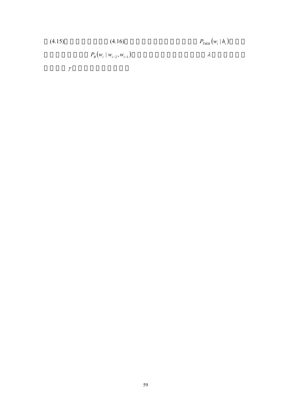(4.15) 
$$
P_{TMM}(w_i | h_i) = P_{TMM}(w_i | h_i)
$$

 $\gamma$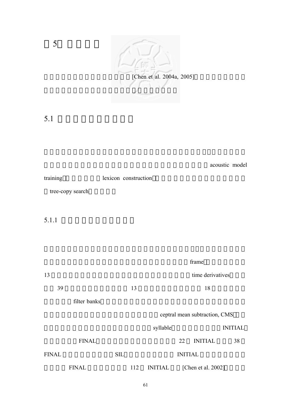[Chen et al. 2004a, 2005] 用的語料,最候介紹各種語言模型調適的實驗結果。

 $5.1$ 

5 實驗介紹

acoustic model

| training         |             | lexicon construction |                |                |                               |                |
|------------------|-------------|----------------------|----------------|----------------|-------------------------------|----------------|
| tree-copy search |             |                      |                |                |                               |                |
|                  |             |                      |                |                |                               |                |
|                  |             |                      |                |                |                               |                |
| 5.1.1            |             |                      |                |                |                               |                |
|                  |             |                      |                |                |                               |                |
|                  |             |                      |                |                |                               |                |
|                  |             |                      |                |                | frame                         |                |
|                  |             |                      |                |                |                               |                |
| 13               |             |                      |                |                | time derivatives              |                |
| 39               |             | 13                   |                |                | 18                            |                |
| filter banks     |             |                      |                |                |                               |                |
|                  |             |                      |                |                | ceptral mean subtraction, CMS |                |
|                  |             |                      | syllable       |                |                               | <b>INITIAL</b> |
|                  |             |                      |                |                |                               |                |
| <b>FINAL</b>     |             |                      |                | 22             | <b>INITIAL</b>                | 38             |
| <b>FINAL</b>     | ${\rm SIL}$ |                      |                | <b>INITIAL</b> |                               |                |
| <b>FINAL</b>     |             | 112                  | <b>INITIAL</b> |                | [Chen et al. 2002]            |                |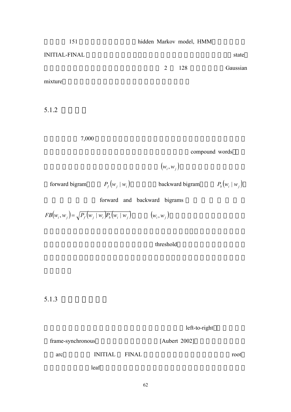| 151                                                                |                              | hidden Markov model, HMM |                 |                |                  |
|--------------------------------------------------------------------|------------------------------|--------------------------|-----------------|----------------|------------------|
| <b>INITIAL-FINAL</b>                                               |                              |                          |                 |                | state            |
|                                                                    |                              | $\overline{2}$           | 128             |                | Gaussian         |
| mixture                                                            |                              |                          |                 |                |                  |
|                                                                    |                              |                          |                 |                |                  |
| 5.1.2                                                              |                              |                          |                 |                |                  |
|                                                                    |                              |                          |                 |                |                  |
| 7,000                                                              |                              |                          |                 |                |                  |
|                                                                    |                              |                          |                 | compound words |                  |
|                                                                    |                              | $(w_i, w_j)$             |                 |                |                  |
| forward bigram                                                     | $P_f(w_i   w_i)$             |                          | backward bigram |                | $P_b(w_i   w_i)$ |
|                                                                    | forward and backward bigrams |                          |                 |                |                  |
| $FB(w_i, w_j) = \sqrt{P_f(w_j   w_i) P_b(w_i   w_j)}$ $(w_i, w_j)$ |                              |                          |                 |                |                  |
|                                                                    |                              |                          |                 |                |                  |
|                                                                    |                              | threshold                |                 |                |                  |

 $5.1.3$ 

| left-to-right |
|---------------|
|               |

| frame-synchronous |               | [Aubert 2002] |      |
|-------------------|---------------|---------------|------|
| arc               | INITIAL FINAL |               | root |
|                   | leaf          |               |      |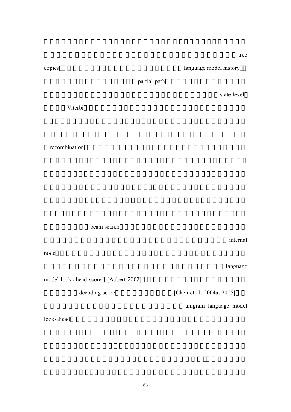63

 $\mathbf{r}$ 

copies and anguage model history and anguage model history

partial path

state-level

維特比(Viterbi)動態規劃搜尋。在每個音框中,若有不完全路徑已到達葉節點

recombination

beam search

路徑。在執行剪裁動作時會同時考量每一個詞彙樹複製之內部節點(internal

language

decoding score [Chen et al. 2004a, 2005]

unigram language model

model look-ahead score [Aubert 2002]

look-ahead

node) contracts the problem of the state  $\overline{a}$  is the state of the state  $\overline{a}$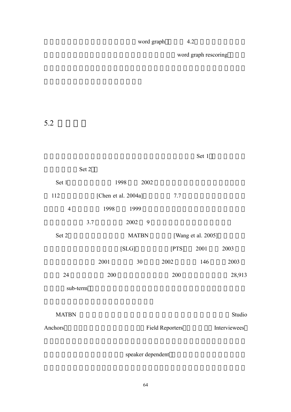# word graph  $4.2$

word graph rescoring

 $5.2$ 

 $\operatorname{Set}$  1

|                | Set 2               |              |      |                        |                    |              |
|----------------|---------------------|--------------|------|------------------------|--------------------|--------------|
| Set 1          |                     | 1998         | 2002 |                        |                    |              |
| 112            | [Chen et al. 2004a] |              |      | 7.7                    |                    |              |
| $\overline{4}$ | 1998                | 1999         |      |                        |                    |              |
|                | 3.7                 | 2002         | 9    |                        |                    |              |
| Set 2          |                     | <b>MATBN</b> |      |                        | [Wang et al. 2005] |              |
|                |                     | [SLG]        |      | [PTS]                  | 2001               | 2003         |
|                | 2001                | 30           |      | 2002                   | 146                | 2003         |
| 24             | 200                 |              |      | 200                    |                    | 28,913       |
| sub-term       |                     |              |      |                        |                    |              |
|                |                     |              |      |                        |                    |              |
| <b>MATBN</b>   |                     |              |      |                        |                    | Studio       |
| Anchors        |                     |              |      | <b>Field Reporters</b> |                    | Interviewees |
|                |                     |              |      |                        |                    |              |

speaker dependent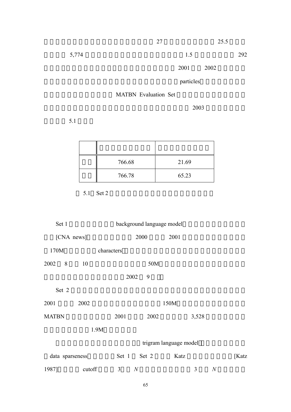#### $27$  25.5

 $5,774$  and  $1.5$   $292$ 

 $2001 \qquad 2002$ 

particles

### MATBN Evaluation Set

 $2003$ 

 $5.1$ 

| 766.68 | 21.69 |
|--------|-------|
| 766.78 | 65.23 |

 $5.1$  Set 2

| Set 1           |            | background language model          |       |                        |       |                  |       |
|-----------------|------------|------------------------------------|-------|------------------------|-------|------------------|-------|
|                 | [CNA news] |                                    | 2000  | 2001                   |       |                  |       |
| 170M            |            | characters                         |       |                        |       |                  |       |
| 2002<br>8       | 10         |                                    | 50M   |                        |       |                  |       |
|                 |            | 2002                               | 9     |                        |       |                  |       |
| Set 2           |            |                                    |       |                        |       |                  |       |
| 2001            | 2002       |                                    |       | 150M                   |       |                  |       |
| <b>MATBN</b>    |            | 2001                               | 2002  |                        | 3,528 |                  |       |
|                 | 1.9M       |                                    |       |                        |       |                  |       |
|                 |            |                                    |       | trigram language model |       |                  |       |
| data sparseness |            | Set 1                              | Set 2 | Katz                   |       |                  | [Katz |
| 1987]           | cutoff     | $\overline{3}$<br>$\boldsymbol{N}$ |       |                        | 3     | $\boldsymbol{N}$ |       |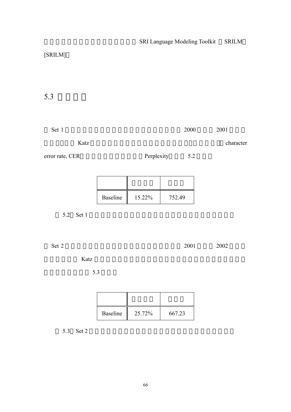## [SRILM]

 $5.3$ 

Set 1 2000 2001

error rate, CER Perplexity 5.2

| 5.2 Set 1 |  |  |  |
|-----------|--|--|--|

Set 2 2001 2002

聞語料,採用 Katz 語言模型平滑技術來訓練背景語言模型,其字錯誤率以及語

 $5.3$ 

| <b>Baseline</b> | 25.72% | 667.23 |
|-----------------|--------|--------|

字錯誤率 複雜度

Baseline 15.22% 752.49

5.3 Set  $2$ 

聞語料,透過 Katz 語言模型平滑技術來訓練背景語言模型,其字錯誤率 character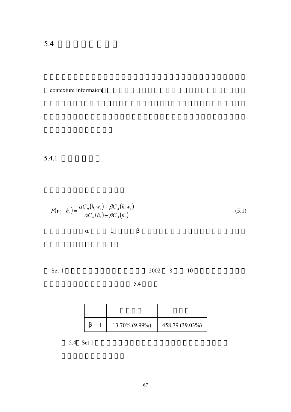contexture informaion

## $5.4.1$

$$
P(w_i | h_i) = \frac{\alpha C_B(h_i w_i) + \beta C_A(h_i w_i)}{\alpha C_B(h_i) + \beta C_A(h_i)}
$$
(5.1)



Set 1 1 1 2002 8 10

 $5.4$ 

| $= 1$ | $13.70\%$ (9.99%) | 458.79 (39.03%) |
|-------|-------------------|-----------------|

 $5.4$  Set 1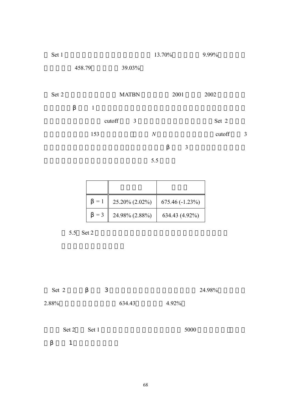| Set 1 |              |        |              | 13.70%           |      | 9.99%  |   |
|-------|--------------|--------|--------------|------------------|------|--------|---|
|       | 458.79       |        | 39.03%       |                  |      |        |   |
| Set 2 | $\mathbf{1}$ |        | <b>MATBN</b> |                  | 2001 | 2002   |   |
|       |              | cutoff | 3            |                  |      | Set 2  |   |
|       | 153          |        |              | $\boldsymbol{N}$ |      | cutoff | 3 |
|       |              |        |              |                  | 3    |        |   |

 $5.5$ 

| $= 1$ | 25.20% (2.02%) | $675.46(-1.23%)$ |
|-------|----------------|------------------|
| $=$ 3 | 24.98% (2.88%) | 634.43 (4.92%)   |

 $5.5$  Set 2

Set 2 3 3 24.98% 2.88%, 2.88%, 2.92%, 2.92%, 2.92%, 2.92%, 2.92%, 2.92%, 2.92%, 2.92%, 2.92%, 2.92%, 2.92%, 2.92%, 2.92%, 2.92% Set 2, Set 1 5000  $\frac{1}{2}$ 

 $\mathbf{R}$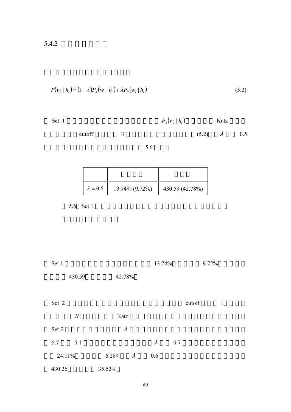$5.4.2$ 

$$
P(w_i | h_i) = (1 - \lambda) P_A(w_i | h_i) + \lambda P_B(w_i | h_i)
$$
\n(5.2)

Set 1 
$$
P_A(w_i | h_i)
$$
 Katz

 $\text{cutoff}$  3 (5.2) 0.5

 $5.6$ 

| $\lambda = 0.5$ | 13.74% (9.72%) | 430.59 (42.78%) |
|-----------------|----------------|-----------------|

 $5.6$  Set 1

| Set 1  |                  |        | 13.74% | 9.72%  |              |  |
|--------|------------------|--------|--------|--------|--------------|--|
|        | 430.59           | 42.78% |        |        |              |  |
|        |                  |        |        |        |              |  |
| Set 2  |                  |        |        | cutoff | $\mathbf{1}$ |  |
|        | $\boldsymbol{N}$ | Katz   |        |        |              |  |
| Set 2  |                  |        |        |        |              |  |
| 5.7    | 5.1              |        | 0.7    |        |              |  |
| 24.11% |                  | 6.28%  | 0.6    |        |              |  |
| 430.26 |                  | 35.52% |        |        |              |  |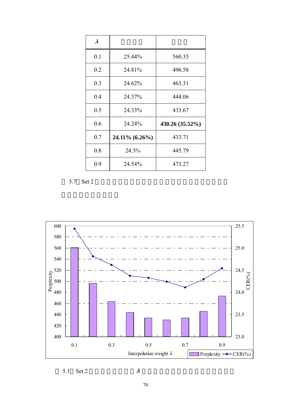| 0.1 | 25.44%         | 560.35          |
|-----|----------------|-----------------|
| 0.2 | 24.81%         | 496.58          |
| 0.3 | 24.62%         | 463.31          |
| 0.4 | 24.37%         | 444.06          |
| 0.5 | 24.33%         | 433.67          |
| 0.6 | 24.24%         | 430.26 (35.52%) |
| 0.7 | 24.11% (6.26%) | 433.71          |
| 0.8 | 24.3%          | 445.79          |
| 0.9 | 24.54%         | 473.27          |

5.7 Set  $2$ 



5.1 Set  $2$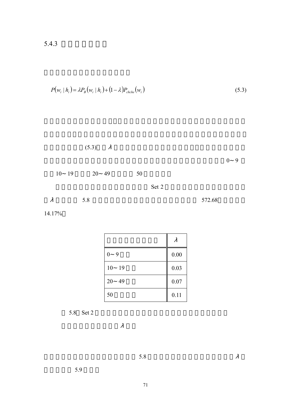$5.4.3$ 

$$
P(w_i | h_i) = \lambda P_B(w_i | h_i) + (1 - \lambda) P_{\text{chche}}(w_i)
$$
\n(5.3)



14.17%

| $\boldsymbol{0}$<br>9 | 0.00 |
|-----------------------|------|
| 10<br>-19             | 0.03 |
| 20<br>49              | 0.07 |
| 50                    | 0.11 |

5.8 Set  $2$ 

 $5.8$ 

設定,如表 5.9 所示: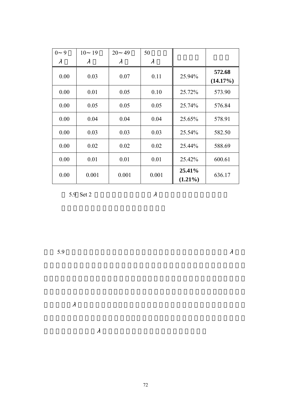| 9<br>$\theta$ | 19<br>10 | 49<br>20 | 50    |                      |                       |
|---------------|----------|----------|-------|----------------------|-----------------------|
| 0.00          | 0.03     | 0.07     | 0.11  | 25.94%               | 572.68<br>$(14.17\%)$ |
| 0.00          | 0.01     | 0.05     | 0.10  | 25.72%               | 573.90                |
| 0.00          | 0.05     | 0.05     | 0.05  | 25.74%               | 576.84                |
| 0.00          | 0.04     | 0.04     | 0.04  | 25.65%               | 578.91                |
| 0.00          | 0.03     | 0.03     | 0.03  | 25.54%               | 582.50                |
| 0.00          | 0.02     | 0.02     | 0.02  | 25.44%               | 588.69                |
| 0.00          | 0.01     | 0.01     | 0.01  | 25.42%               | 600.61                |
| 0.00          | 0.001    | 0.001    | 0.001 | 25.41%<br>$(1.21\%)$ | 636.17                |

5.9 Set  $2$ 

 $5.9$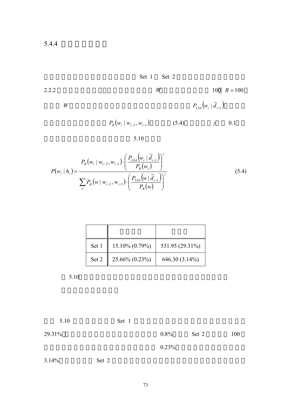$5.4.4$ 

2.2.2  
2.2.2  
*W* 100 *R* = 100  
*W* 
$$
P_{LSA}(w_i | \tilde{d}_{i-1})
$$

$$
P_B(w_i \mid w_{i-2}, w_{i-1}) \tag{5.4} \gamma \tag{0.1}
$$

 $5.10$ 

$$
P(w_i | h_i) = \frac{P_B(w_i | w_{i-2}, w_{i-1}) \cdot \left(\frac{P_{LSA}(w_i | \tilde{d}_{i-1})}{P_B(w_i)}\right)^{\gamma}}{\sum_{w} P_B(w | w_{i-2}, w_{i-1}) \cdot \left(\frac{P_{LSA}(w | \tilde{d}_{i-1})}{P_B(w)}\right)^{\gamma}}
$$
(5.4)

| Set 1 | $15.10\% (0.79\%)$ | 531.95 (29.31%)  |
|-------|--------------------|------------------|
| Set 2 | $25.66\% (0.23\%)$ | $646.30(3.14\%)$ |

 $5.10$ 

 $5.10$  Set 1  $29.31\%$   $0.8\%$  Set 2  $100$  $0.23\%$  $3.14\%$  Set 2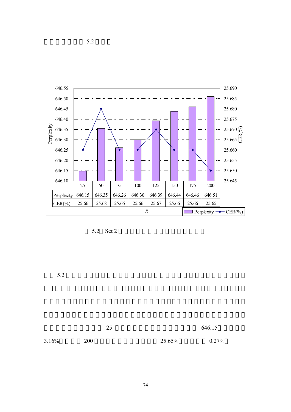

5.2 Set 2

 $5.2$ 

 $5.2$ 

 $25$  646.15

3.16% 200 25.65%  $0.27\%$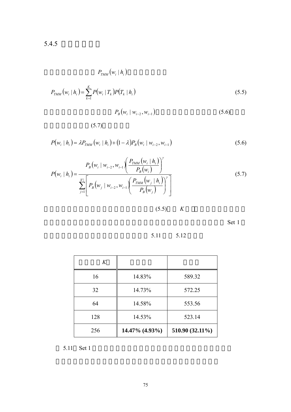$$
P_{TMM}(w_i | h_i)
$$
  
\n
$$
P_{TMM}(w_i | h_i) = \sum_{k=1}^{K} P(w_i | T_k) P(T_k | h_i)
$$
  
\n
$$
P_B(w_i | w_{i-2}, w_{i-1})
$$
\n(5.6)  
\n(5.7)

$$
P(w_i | h_i) = \lambda P_{TMM}(w_i | h_i) + (1 - \lambda) P_B(w_i | w_{i-2}, w_{i-1})
$$
\n(5.6)

$$
P(w_i | h_i) = \frac{P_B(w_i | w_{i-2}, w_{i-1}) \left(\frac{P_{TMM}(w_i | h_i)}{P_B(w_i)}\right)^{\gamma}}{\sum_{j=1}^{|V|} \left[P_B(w_j | w_{i-2}, w_{i-1}) \left(\frac{P_{TMM}(w_j | h_i)}{P_B(w_j)}\right)^{\gamma}\right]}
$$
(5.7)

與機率調整法合併不同主題數之主題混合模型與背景三連語言模型。在 Set 1

$$
5.11 \qquad 5.12
$$

| $\boldsymbol{K}$ |                |                 |
|------------------|----------------|-----------------|
| 16               | 14.83%         | 589.32          |
| 32               | 14.73%         | 572.25          |
| 64               | 14.58%         | 553.56          |
| 128              | 14.53%         | 523.14          |
| 256              | 14.47% (4.93%) | 510.90 (32.11%) |

5.11 Set 1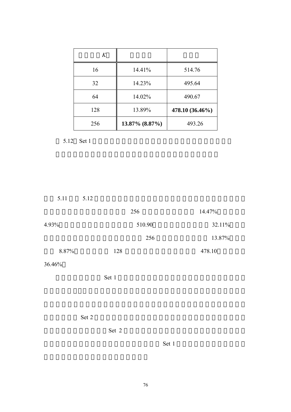| $\boldsymbol{K}$ |                |                 |
|------------------|----------------|-----------------|
| 16               | 14.41%         | 514.76          |
| 32               | 14.23%         | 495.64          |
| 64               | 14.02%         | 490.67          |
| 128              | 13.89%         | 478.10 (36.46%) |
| 256              | 13.87% (8.87%) | 493.26          |

 $5.12$  Set 1

| 5.11   | 5.12 |     |        |        |
|--------|------|-----|--------|--------|
|        |      |     | 256    | 14.47% |
| 4.93%  |      |     | 510.90 | 32.11% |
|        |      |     | 256    | 13.87% |
| 8.87%  |      | 128 |        | 478.10 |
| 36.46% |      |     |        |        |

 $\operatorname{Set} 1$ 

 $\operatorname{Set} 2$ 

Set  $2$ 

 $Set 1$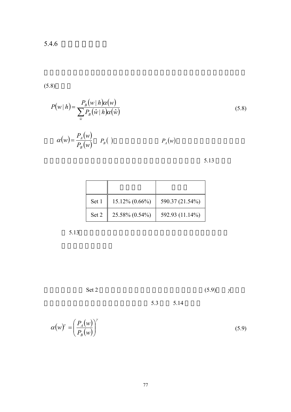$(5.8)$ 

$$
P(w|h) = \frac{P_B(w|h)\alpha(w)}{\sum_{\hat{w}} P_B(\hat{w}|h)\alpha(\hat{w})}
$$
(5.8)  

$$
\alpha(w) = \frac{P_A(w)}{P_A(w)} \qquad P_B(\ )
$$

 $5.13$ 

| Set 1 | $15.12\% (0.66\%)$ | 590.37 (21.54%) |
|-------|--------------------|-----------------|
| Set 2 | 25.58% (0.54%)     | 592.93 (11.14%) |

 $5.13$ 

 $P_{\scriptscriptstyle R}(w)$ 

*B*

 $(5.9)$  γ

 $5.3$   $5.14$ 

$$
\alpha(w)^{\gamma} = \left(\frac{P_A(w)}{P_B(w)}\right)^{\gamma}
$$
\n(5.9)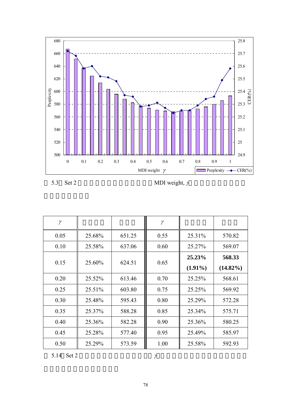

| γ    |        |        | γ    |            |             |
|------|--------|--------|------|------------|-------------|
| 0.05 | 25.68% | 651.25 | 0.55 | 25.31%     | 570.82      |
| 0.10 | 25.58% | 637.06 | 0.60 | 25.27%     | 569.07      |
| 0.15 | 25.60% | 624.51 | 0.65 | 25.23%     | 568.33      |
|      |        |        |      | $(1.91\%)$ | $(14.82\%)$ |
| 0.20 | 25.52% | 613.46 | 0.70 | 25.25%     | 568.61      |
| 0.25 | 25.51% | 603.80 | 0.75 | 25.25%     | 569.92      |
| 0.30 | 25.48% | 595.43 | 0.80 | 25.29%     | 572.28      |
| 0.35 | 25.37% | 588.28 | 0.85 | 25.34%     | 575.71      |
| 0.40 | 25.36% | 582.28 | 0.90 | 25.36%     | 580.25      |
| 0.45 | 25.28% | 577.40 | 0.95 | 25.49%     | 585.97      |
| 0.50 | 25.29% | 573.59 | 1.00 | 25.58%     | 592.93      |

5.14 Set 2  $\gamma$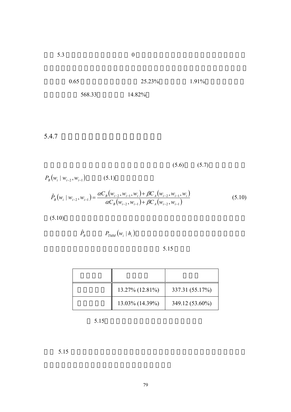$5.3$  0  $0.65$   $25.23\%$   $1.91\%$ 568.33 14.82%

5.4.7

$$
(5.6)\qquad(5.7)
$$

 $P_B(w_i | w_{i-2}, w_{i-1})$  (5.1)  $(w_i | w_{i-2}, w_{i-1}) = \frac{\alpha C_B(w_{i-2}, w_{i-1}, w_i) + \beta C_A(w_{i-2}, w_{i-1}, w_i)}{\alpha C_B(w_{i-1}, w_{i-1}, w_i)}$  $(w_{i-2}, w_{i-1})$  +  $\beta C_A(w_{i-2}, w_{i-1})$  $\left( \sum_{i=1}^{n} w_{i-1} \right) = \frac{\alpha C_B(w_{i-2}, w_{i-1}, w_i) + \beta C_A(w_{i-2}, w_{i-1})}{\alpha C_B(w_{i-2}, w_{i-1}) + \beta C_A(w_{i-2}, w_{i-1})}$  $\hat{P}_B(w_i | w_{i-2}, w_{i-1}) = \frac{\alpha C_B(w_{i-2}, w_{i-1}, w_i) + \beta C_A(w_{i-2}, w_{i-1}, w_{i-1})}{\alpha C_A(w_{i-1}, w_{i-1})}$  $_{-2}$ ,  $W_{i-1}$   $J$   $\top$   $\mu$   $\cup$   $_{A}$   $\setminus$   $W_{i-2}$  ,  $W_{i-1}$  $(w_{i-2}, w_{i-1}) = \frac{\alpha C_B(w_{i-2}, w_{i-1}, w_i) + \beta C_A(w_{i-2}, w_{i-1})}{\alpha C_B(w_{i-2}, w_{i-1}) + \beta C_A(w_{i-2}, w_{i-1})}$  $=\frac{\alpha C_{B}(w_{i-2}, w_{i-1}, w_{i})+}{\alpha}$  $B(V_{i-2}, W_{i-1})$   $\vdash$   $P \cup_A (W_{i-2}, W_i)$  $B_B(w_i | w_{i-2}, w_{i-1}) = \frac{\alpha C_B(w_{i-2}, w_{i-1}, w_i) + \beta C_A(w_{i-2}, w_{i-1}, w_i)}{\alpha C_B(w_{i-2}, w_{i-1}) + \beta C_A(w_{i-2}, w_{i-1})}$  $\hat{P}_R(w_i | w_{i-2}, w_{i-1}) = \frac{\alpha C_B(w_{i-2}, w_{i-1}, w_i) + \beta C_A(w_{i-2}, w_{i-1}, w_{i-1})}{\alpha C_A(w_{i-2}, w_{i-1}, w_{i-1})}$  $\alpha C_{B}(w_{i-2}, w_{i-1}) + \beta 0$  $\frac{\alpha C_B(w_{i-2}, w_{i-1}, w_i) + \beta C_A(w_{i-2}, w_{i-1}, w_i)}{\alpha (5.10)}$ 

 $(5.10)$ 

$$
\hat{P}_{_B} \qquad \qquad P_{_{TMM}}\bigl( w_{_i} \mid h_{_i} \bigr)
$$

 $5.15$ 

| $13.27\%$ (12.81%) | 337.31 (55.17%) |
|--------------------|-----------------|
| $13.03\%$ (14.39%) | 349.12 (53.60%) |

 $5.15$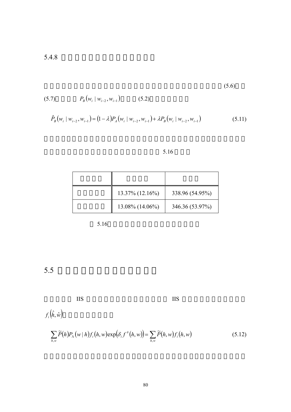$$
(5.6)
$$

$$
(5.7) \tPB(wi | wi-2, wi-1) \t(5.2)
$$

$$
\hat{P}_B(w_i \mid w_{i-2}, w_{i-1}) = (1 - \lambda) P_A(w_i \mid w_{i-2}, w_{i-1}) + \lambda P_B(w_i \mid w_{i-2}, w_{i-1})
$$
\n(5.11)

| $13.37\%$ (12.16%) | 338.96 (54.95%) |
|--------------------|-----------------|
| $13.08\%$ (14.06%) | 346.36 (53.97%) |

 $5.16$ 

 $5.5$ 

本論文採用 IIS 演算法來求最大熵值法的解,在 IIS 演算法中,對於每個特徵

 $f_i(\hat{h}, \hat{w})$  $\sum_{h,w} \widetilde{P}(h) P_{\Lambda}(w|h) f_i(h,w) \exp(\delta_i f^*(h,w)) = \sum_{h,w} \widetilde{P}(h,w) f_i(h,w)$ *i h w*  $P(h)P_{\Lambda}(w \mid h)f_{i}(h, w)exp(\delta_{i} f^{*}(h, w)) = \sum_{i} P(h, w)f_{i}(h, w)$  $, w \qquad h,$  $\widetilde{P}(h)P_{\lambda}(w|h)f_{i}(h,w) \exp(\delta_{i} f^{*}(h,w)) = \sum \widetilde{P}(h,w)f_{i}(h,w)$  (5.12)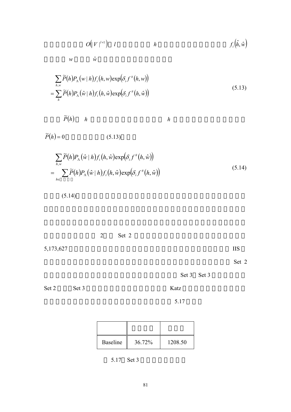$$
O(|V|^{l+1}) \quad l \qquad h
$$
  

$$
w \qquad \hat{w}
$$
  

$$
\sum_{h,w} \widetilde{P}(h) P_{\Lambda}(w|h) f_i(h,w) \exp(\delta_i f^*(h,w))
$$
 (5.13)

$$
= \sum_{h} \widetilde{P}(h) P_{\Lambda}(\hat{w} | h) f_{i}(h, \hat{w}) \exp(\delta_{i} f^{*}(h, \hat{w}))
$$
\n(5.13)

$$
\widetilde{P}(h) \qquad h \qquad \qquad h
$$

$$
\widetilde{P}(h) = 0 \tag{5.13}
$$

$$
\sum_{h,w} \widetilde{P}(h) P_{\Lambda}(\hat{w} | h) f_i(h, \hat{w}) \exp(\delta_i f^*(h, \hat{w}))
$$
  
= 
$$
\sum_{h \in \Lambda} \widetilde{P}(h) P_{\Lambda}(\hat{w} | h) f_i(h, \hat{w}) \exp(\delta_i f^*(h, \hat{w}))
$$
  
(5.14)

歷史詞序列的長度為 2,以 Set 2 的訓練語料為例,這樣的歷史詞序列總共有

5,173,627 IIS

 $\operatorname{Set}$  2

Set 3 Set 3

Set 2 Set 3 Katz

 $5.17$ 

| <b>Baseline</b> | 36.72% | 1208.50 |
|-----------------|--------|---------|

5.17 Set 3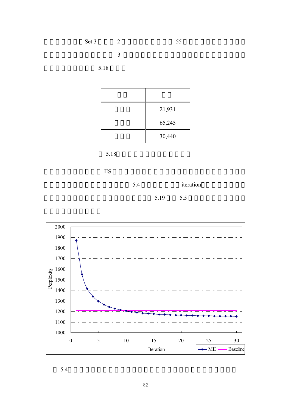| Set 3 $2$ |               | 55 |
|-----------|---------------|----|
|           | $\mathcal{R}$ |    |
| 5.18      |               |    |

| 21,931 |
|--------|
| 65,245 |
| 30,440 |







 $5.19$   $5.5$ 

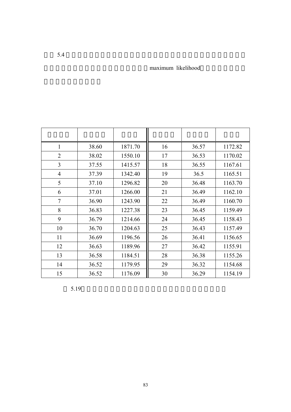maximum likelihood

| 1              | 38.60 | 1871.70 | 16 | 36.57 | 1172.82 |
|----------------|-------|---------|----|-------|---------|
| $\overline{2}$ | 38.02 | 1550.10 | 17 | 36.53 | 1170.02 |
| 3              | 37.55 | 1415.57 | 18 | 36.55 | 1167.61 |
| $\overline{4}$ | 37.39 | 1342.40 | 19 | 36.5  | 1165.51 |
| 5              | 37.10 | 1296.82 | 20 | 36.48 | 1163.70 |
| 6              | 37.01 | 1266.00 | 21 | 36.49 | 1162.10 |
| 7              | 36.90 | 1243.90 | 22 | 36.49 | 1160.70 |
| 8              | 36.83 | 1227.38 | 23 | 36.45 | 1159.49 |
| 9              | 36.79 | 1214.66 | 24 | 36.45 | 1158.43 |
| 10             | 36.70 | 1204.63 | 25 | 36.43 | 1157.49 |
| 11             | 36.69 | 1196.56 | 26 | 36.41 | 1156.65 |
| 12             | 36.63 | 1189.96 | 27 | 36.42 | 1155.91 |
| 13             | 36.58 | 1184.51 | 28 | 36.38 | 1155.26 |
| 14             | 36.52 | 1179.95 | 29 | 36.32 | 1154.68 |
| 15             | 36.52 | 1176.09 | 30 | 36.29 | 1154.19 |

| 5.19 |
|------|
|------|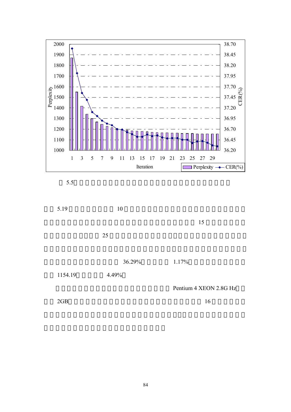

 $5.5$ 

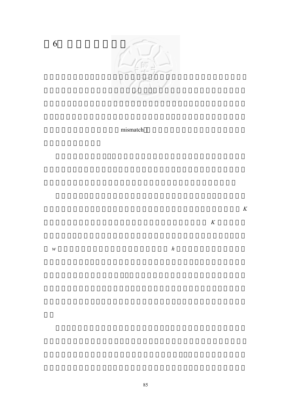

mismatch

個主題,各由一主題一連語言模型所表示,另外每一個文件對這 *K* 個主題都有

*w* 視為只擁有一個詞的查詢,而其歷史詞序列 *h* 視為一個文件,便可以計算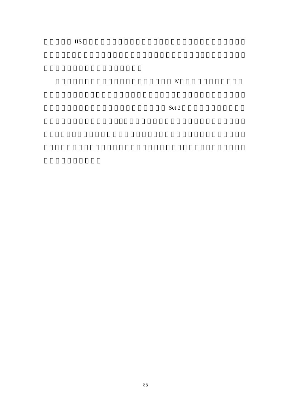$II$ S  $II$ 

 $N$ 

 $Set 2$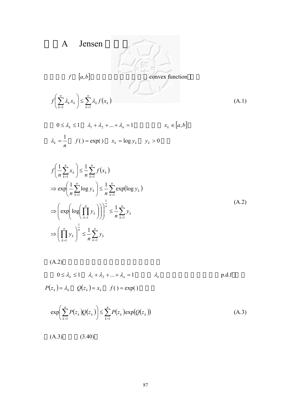A Jensen  
\n
$$
\int [a,b] \qquad \text{convex function}
$$
\n
$$
\int \left(\sum_{k=1}^{n} \lambda_k x_k\right) \le \sum_{k=1}^{n} \lambda_k f(x_k)
$$
\n
$$
0 \le \lambda_k \le 1 \quad \lambda_1 + \lambda_2 + \dots + \lambda_n = 1 \qquad x_k \in [a,b]
$$
\n
$$
\lambda_k = \frac{1}{n} \quad f( ) = \exp( ) \quad x_k = \log y_k \quad y_k > 0
$$
\n
$$
\int \left(\frac{1}{n} \sum_{k=1}^{n} x_k\right) \le \frac{1}{n} \sum_{k=1}^{n} f(x_k)
$$
\n
$$
\Rightarrow \exp \left(\frac{1}{n} \sum_{k=1}^{n} \log y_k\right) \le \frac{1}{n} \sum_{k=1}^{n} \exp(\log y_k)
$$
\n
$$
\Rightarrow \left(\exp \left(\log \left(\frac{n}{k+1}y_k\right)\right)\right)^{\frac{1}{n}} \le \frac{1}{n} \sum_{k=1}^{n} y_k
$$
\n
$$
\Rightarrow \left(\frac{n}{k+1} y_k\right)^{\frac{1}{n}} \le \frac{1}{n} \sum_{k=1}^{n} y_k
$$
\n(A.2)

 $(A.2)$ 

$$
0 \le \lambda_k \le 1 \qquad \lambda_1 + \lambda_2 + \dots + \lambda_n = 1 \qquad \qquad \lambda_k \qquad \qquad \text{p.d.f}
$$

$$
P(z_k) = \lambda_k \qquad Q(z_k) = x_k \qquad f\left(\right) = \exp\left(\right)
$$

$$
\exp\left(\sum_{k=1}^{n} P(z_k)Q(z_k)\right) \le \sum_{k=1}^{n} P(z_k) \exp(Q(z_k))\tag{A.3}
$$

$$
(A.3) \qquad (3.40)
$$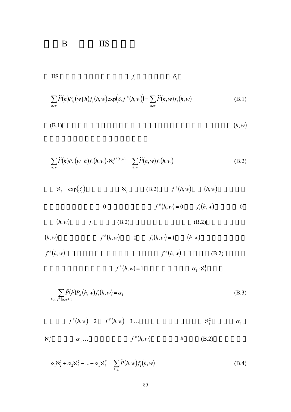$$
f_{i} \qquad \delta_{i}
$$
  

$$
\sum_{h,w} \widetilde{P}(h) P_{\Lambda}(w|h) f_{i}(h,w) \exp(\delta_{i} f^{*}(h,w)) = \sum_{h,w} \widetilde{P}(h,w) f_{i}(h,w) \qquad (B.1)
$$

$$
(B.1) \t\t\t (h,w)
$$

$$
\sum_{h,w}\widetilde{P}(h)P_{\Lambda}(w|h)f_i(h,w)\cdot \aleph_i^{f^*(h,w)} = \sum_{h,w}\widetilde{P}(h,w)f_i(h,w)
$$
\n(B.2)

$$
S_{i} = \exp(\delta_{i}) \qquad S_{i} \qquad (B.2) \qquad f^{*}(h, w) \qquad (h, w)
$$
  
\n
$$
0 \qquad f^{*}(h, w) = 0 \qquad f_{i}(h, w) \qquad 0
$$
  
\n
$$
(h, w) \qquad f_{i} \qquad (B.2) \qquad (B.2)
$$
  
\n
$$
(h, w) \qquad f^{*}(h, w) \qquad 0 \qquad f_{i}(h, w) = 1 \qquad (h, w)
$$
  
\n
$$
f^{*}(h, w) \qquad f^{*}(h, w) \qquad (B.2)
$$

 $f^*(h, w) = 1$  *a*<sub>1</sub> ·  $\aleph_i^1$ 

$$
\sum_{h,w \mid f^*(h,w)=1} \widetilde{P}(h) P_{\Lambda}(h,w) f_i(h,w) = \alpha_1
$$
\n(B.3)

$$
f^{\#}(h, w) = 2 \qquad f^{\#}(h, w) = 3 \dots \qquad \qquad \aleph_i^2 \qquad \qquad \alpha_2
$$

$$
\aleph_i^3 \qquad \qquad \alpha_3 \ldots \qquad \qquad f^*(h,w) \qquad \qquad \# \qquad \qquad (B.2)
$$

$$
\alpha_1 \aleph_i^1 + \alpha_2 \aleph_i^2 + \dots + \alpha_\# \aleph_i^* = \sum_{h,w} \widetilde{P}(h, w) f_i(h, w)
$$
\n(B.4)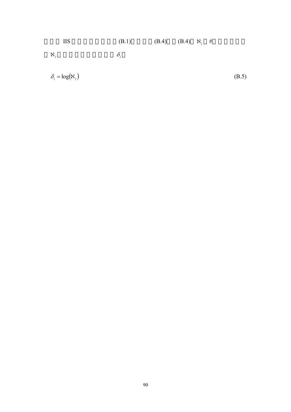| <b>IIS</b> | (B.1) (B.4) (B.4) $\aleph_i$ # |  |  |
|------------|--------------------------------|--|--|
|            |                                |  |  |

 $\aleph_i$   $\delta_i$ 

$$
\delta_i = \log(\aleph_i) \tag{B.5}
$$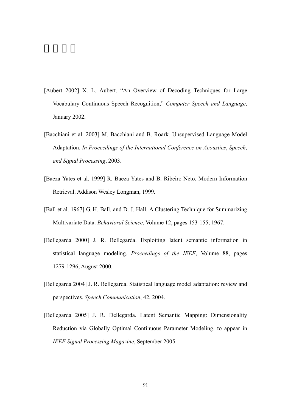- [Aubert 2002] X. L. Aubert. "An Overview of Decoding Techniques for Large Vocabulary Continuous Speech Recognition," *Computer Speech and Language*, January 2002.
- [Bacchiani et al. 2003] M. Bacchiani and B. Roark. Unsupervised Language Model Adaptation. *In Proceedings of the International Conference on Acoustics*, *Speech*, *and Signal Processing*, 2003.
- [Baeza-Yates et al. 1999] R. Baeza-Yates and B. Ribeiro-Neto. Modern Information Retrieval. Addison Wesley Longman, 1999.
- [Ball et al. 1967] G. H. Ball, and D. J. Hall. A Clustering Technique for Summarizing Multivariate Data. *Behavioral Science*, Volume 12, pages 153-155, 1967.
- [Bellegarda 2000] J. R. Bellegarda. Exploiting latent semantic information in statistical language modeling. *Proceedings of the IEEE*, Volume 88, pages 1279-1296, August 2000.
- [Bellegarda 2004] J. R. Bellegarda. Statistical language model adaptation: review and perspectives. *Speech Communication*, 42, 2004.
- [Bellegarda 2005] J. R. Dellegarda. Latent Semantic Mapping: Dimensionality Reduction via Globally Optimal Continuous Parameter Modeling. to appear in *IEEE Signal Processing Magazine*, September 2005.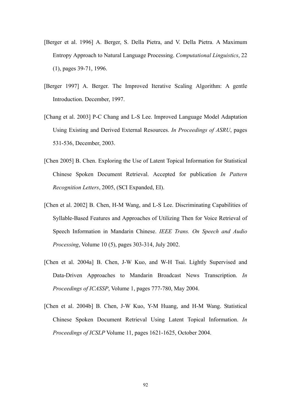- [Berger et al. 1996] A. Berger, S. Della Pietra, and V. Della Pietra. A Maximum Entropy Approach to Natural Language Processing. *Computational Linguistics*, 22 (1), pages 39-71, 1996.
- [Berger 1997] A. Berger. The Improved Iterative Scaling Algorithm: A gentle Introduction. December, 1997.
- [Chang et al. 2003] P-C Chang and L-S Lee. Improved Language Model Adaptation Using Existing and Derived External Resources. *In Proceedings of ASRU*, pages 531-536, December, 2003.
- [Chen 2005] B. Chen. Exploring the Use of Latent Topical Information for Statistical Chinese Spoken Document Retrieval. Accepted for publication *In Pattern Recognition Letters*, 2005, (SCI Expanded, EI).
- [Chen et al. 2002] B. Chen, H-M Wang, and L-S Lee. Discriminating Capabilities of Syllable-Based Features and Approaches of Utilizing Then for Voice Retrieval of Speech Information in Mandarin Chinese. *IEEE Trans. On Speech and Audio Processing*, Volume 10 (5), pages 303-314, July 2002.
- [Chen et al. 2004a] B. Chen, J-W Kuo, and W-H Tsai. Lightly Supervised and Data-Driven Approaches to Mandarin Broadcast News Transcription. *In Proceedings of ICASSP*, Volume 1, pages 777-780, May 2004.
- [Chen et al. 2004b] B. Chen, J-W Kuo, Y-M Huang, and H-M Wang. Statistical Chinese Spoken Document Retrieval Using Latent Topical Information. *In Proceedings of ICSLP* Volume 11, pages 1621-1625, October 2004.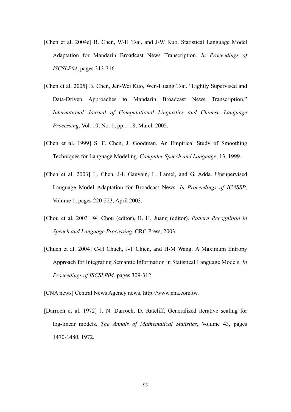- [Chen et al. 2004c] B. Chen, W-H Tsai, and J-W Kuo. Statistical Language Model Adaptation for Mandarin Broadcast News Transcription. *In Proceedings of ISCSLP04*, pages 313-316.
- [Chen et al. 2005] B. Chen, Jen-Wei Kuo, Wen-Huang Tsai. "Lightly Supervised and Data-Driven Approaches to Mandarin Broadcast News Transcription," *International Journal of Computational Linguistics and Chinese Language Processing*, Vol. 10, No. 1, pp.1-18, March 2005.
- [Chen et al. 1999] S. F. Chen, J. Goodman. An Empirical Study of Smoothing Techniques for Language Modeling. *Computer Speech and Language*, 13, 1999.
- [Chen et al. 2003] L. Chen, J-L Gauvain, L. Lamel, and G. Adda. Unsupervised Language Model Adaptation for Broadcast News. *In Proceedings of ICASSP*, Volume 1, pages 220-223, April 2003.
- [Chou et al. 2003] W. Chou (editor), B. H. Juang (editor). *Pattern Recognition in Speech and Language Processing*, CRC Press, 2003.
- [Chueh et al. 2004] C-H Chueh, J-T Chien, and H-M Wang. A Maximum Entropy Approach for Integrating Semantic Information in Statistical Language Models. *In Proceedings of ISCSLP04*, pages 309-312.
- [CNA news] Central News Agency news. http://www.cna.com.tw.
- [Darroch et al. 1972] J. N. Darroch, D. Ratcliff. Generalized iterative scaling for log-linear models. *The Annals of Mathematical Statistics*, Volume 43, pages 1470-1480, 1972.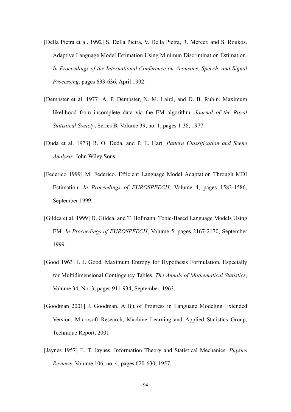- [Della Pietra et al. 1992] S. Della Pietra, V. Della Pietra, R. Mercer, and S. Roukos. Adaptive Language Model Estimation Using Minimun Discrimination Estimation. *In Proceedings of the International Conference on Acoustics*, *Speech*, *and Signal Processing*, pages 633-636, April 1992.
- [Dempster et al. 1977] A. P. Dempster, N. M. Laird, and D. B. Rubin. Maximum likelihood from incomplete data via the EM algorithm. *Journal of the Royal Statistical Society*, Series B, Volume 39, no. 1, pages 1-38, 1977.
- [Duda et al. 1973] R. O. Duda, and P. E. Hart. *Pattern Classification and Scene Analysis*. John Wiley Sons.
- [Federico 1999] M. Federico. Efficient Language Model Adaptation Through MDI Estimation. *In Proceedings of EUROSPEECH*, Volume 4, pages 1583-1586, September 1999.
- [Gildea et al. 1999] D. Gildea, and T. Hofmann. Topic-Based Language Models Using EM. *In Proceedings of EUROSPEECH*, Volume 5, pages 2167-2170, September 1999.
- [Good 1963] I. J. Good. Maximum Entropy for Hypothesis Formulation, Especially for Multidimensional Contingency Tables. *The Annals of Mathematical Statistics*, Volume 34, No. 3, pages 911-934, September, 1963.
- [Goodman 2001] J. Goodman. A Bit of Progress in Language Modeling Extended Version. Microsoft Research, Machine Learning and Applied Statistics Group, Technique Report, 2001.
- [Jaynes 1957] E. T. Jaynes. Information Theory and Statistical Mechanics. *Physics Reviews*, Volume 106, no. 4, pages 620-630, 1957.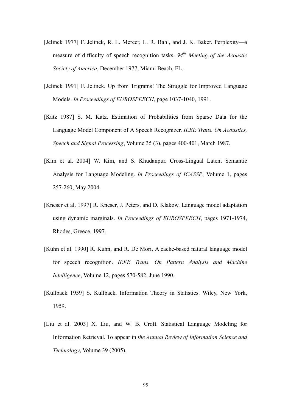- [Jelinek 1977] F. Jelinek, R. L. Mercer, L. R. Bahl, and J. K. Baker. Perplexity—a measure of difficulty of speech recognition tasks.  $94<sup>th</sup>$  Meeting of the Acoustic *Society of America*, December 1977, Miami Beach, FL.
- [Jelinek 1991] F. Jelinek. Up from Trigrams! The Struggle for Improved Language Models. *In Proceedings of EUROSPEECH*, page 1037-1040, 1991.
- [Katz 1987] S. M. Katz. Estimation of Probabilities from Sparse Data for the Language Model Component of A Speech Recognizer. *IEEE Trans. On Acoustics, Speech and Signal Processing*, Volume 35 (3), pages 400-401, March 1987.
- [Kim et al. 2004] W. Kim, and S. Khudanpur. Cross-Lingual Latent Semantic Analysis for Language Modeling. *In Proceedings of ICASSP*, Volume 1, pages 257-260, May 2004.
- [Kneser et al. 1997] R. Kneser, J. Peters, and D. Klakow. Language model adaptation using dynamic marginals. *In Proceedings of EUROSPEECH*, pages 1971-1974, Rhodes, Greece, 1997.
- [Kuhn et al. 1990] R. Kuhn, and R. De Mori. A cache-based natural language model for speech recognition. *IEEE Trans. On Pattern Analysis and Machine Intelligence*, Volume 12, pages 570-582, June 1990.
- [Kullback 1959] S. Kullback. Information Theory in Statistics. Wiley, New York, 1959.
- [Liu et al. 2003] X. Liu, and W. B. Croft. Statistical Language Modeling for Information Retrieval. To appear in *the Annual Review of Information Science and Technology*, Volume 39 (2005).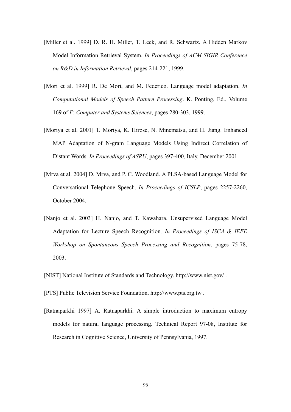- [Miller et al. 1999] D. R. H. Miller, T. Leek, and R. Schwartz. A Hidden Markov Model Information Retrieval System. *In Proceedings of ACM SIGIR Conference on R&D in Information Retrieval*, pages 214-221, 1999.
- [Mori et al. 1999] R. De Mori, and M. Federico. Language model adaptation. *In Computational Models of Speech Pattern Processing*. K. Ponting, Ed., Volume 169 of *F*: *Computer and Systems Sciences*, pages 280-303, 1999.
- [Moriya et al. 2001] T. Moriya, K. Hirose, N. Minematsu, and H. Jiang. Enhanced MAP Adaptation of N-gram Language Models Using Indirect Correlation of Distant Words. *In Proceedings of ASRU*, pages 397-400, Italy, December 2001.
- [Mrva et al. 2004] D. Mrva, and P. C. Woodland. A PLSA-based Language Model for Conversational Telephone Speech. *In Proceedings of ICSLP*, pages 2257-2260, October 2004.
- [Nanjo et al. 2003] H. Nanjo, and T. Kawahara. Unsupervised Language Model Adaptation for Lecture Speech Recognition. *In Proceedings of ISCA & IEEE Workshop on Spontaneous Speech Processing and Recognition*, pages 75-78, 2003.
- [NIST] National Institute of Standards and Technology. http://www.nist.gov/ .
- [PTS] Public Television Service Foundation. http://www.pts.org.tw .
- [Ratnaparkhi 1997] A. Ratnaparkhi. A simple introduction to maximum entropy models for natural language processing. Technical Report 97-08, Institute for Research in Cognitive Science, University of Pennsylvania, 1997.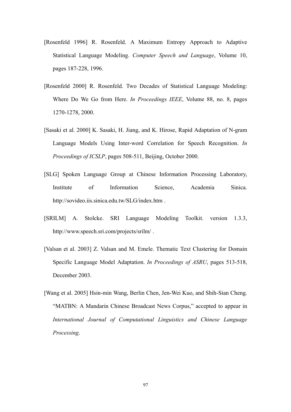- [Rosenfeld 1996] R. Rosenfeld. A Maximum Entropy Approach to Adaptive Statistical Language Modeling. *Computer Speech and Language*, Volume 10, pages 187-228, 1996.
- [Rosenfeld 2000] R. Rosenfeld. Two Decades of Statistical Language Modeling: Where Do We Go from Here. *In Proceedings IEEE*, Volume 88, no. 8, pages 1270-1278, 2000.
- [Sasaki et al. 2000] K. Sasaki, H. Jiang, and K. Hirose, Rapid Adaptation of N-gram Language Models Using Inter-word Correlation for Speech Recognition. *In Proceedings of ICSLP*, pages 508-511, Beijing, October 2000.
- [SLG] Spoken Language Group at Chinese Information Processing Laboratory, Institute of Information Science, Academia Sinica. http://sovideo.iis.sinica.edu.tw/SLG/index.htm .
- [SRILM] A. Stolcke. SRI Language Modeling Toolkit. version 1.3.3, http://www.speech.sri.com/projects/srilm/ .
- [Valsan et al. 2003] Z. Valsan and M. Emele. Thematic Text Clustering for Domain Specific Language Model Adaptation. *In Proceedings of ASRU*, pages 513-518, December 2003.
- [Wang et al. 2005] Hsin-min Wang, Berlin Chen, Jen-Wei Kuo, and Shih-Sian Cheng. "MATBN: A Mandarin Chinese Broadcast News Corpus," accepted to appear in *International Journal of Computational Linguistics and Chinese Language Processing*.